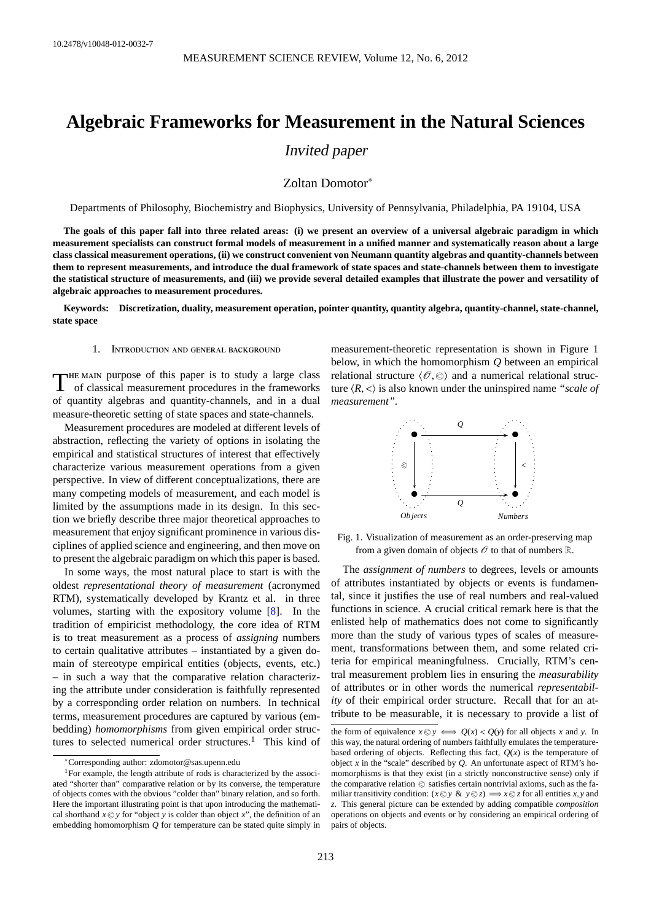# **Algebraic Frameworks for Measurement in the Natural Sciences**

Invited paper

## Zoltan Domotor∗

Departments of Philosophy, Biochemistry and Biophysics, University of Pennsylvania, Philadelphia, PA 19104, USA

**The goals of this paper fall into three related areas: (i) we present an overview of a universal algebraic paradigm in which measurement specialists can construct formal models of measurement in a unified manner and systematically reason about a large class classical measurement operations, (ii) we construct convenient von Neumann quantity algebras and quantity-channels between them to represent measurements, and introduce the dual framework of state spaces and state-channels between them to investigate the statistical structure of measurements, and (iii) we provide several detailed examples that illustrate the power and versatility of algebraic approaches to measurement procedures.**

**Keywords: Discretization, duality, measurement operation, pointer quantity, quantity algebra, quantity-channel, state-channel, state space**

#### 1. Introduction and general background

THE MAIN purpose of this paper is to study a large class of classical measurement procedures in the frameworks of classical measurement procedures in the frameworks of quantity algebras and quantity-channels, and in a dual measure-theoretic setting of state spaces and state-channels.

Measurement procedures are modeled at different levels of abstraction, reflecting the variety of options in isolating the empirical and statistical structures of interest that effectively characterize various measurement operations from a given perspective. In view of different conceptualizations, there are many competing models of measurement, and each model is limited by the assumptions made in its design. In this section we briefly describe three major theoretical approaches to measurement that enjoy significant prominence in various disciplines of applied science and engineering, and then move on to present the algebraic paradigm on which this paper is based.

In some ways, the most natural place to start is with the oldest *representational theory of measurement* (acronymed RTM), systematically developed by Krantz et al. in three volumes, starting with the expository volume [\[8\]](#page-20-0). In the tradition of empiricist methodology, the core idea of RTM is to treat measurement as a process of *assigning* numbers to certain qualitative attributes – instantiated by a given domain of stereotype empirical entities (objects, events, etc.) – in such a way that the comparative relation characterizing the attribute under consideration is faithfully represented by a corresponding order relation on numbers. In technical terms, measurement procedures are captured by various (embedding) *homomorphisms* from given empirical order struc-tures to selected numerical order structures.<sup>[1](#page-0-0)</sup> This kind of

measurement-theoretic representation is shown in Figure 1 below, in which the homomorphism *Q* between an empirical relational structure  $\langle \mathcal{O}, \otimes \rangle$  and a numerical relational structure  $\langle R, \langle \rangle$  is also known under the uninspired name *"scale of measurement"*.



Fig. 1. Visualization of measurement as an order-preserving map from a given domain of objects  $\mathcal O$  to that of numbers  $\mathbb R$ .

The *assignment of numbers* to degrees, levels or amounts of attributes instantiated by objects or events is fundamental, since it justifies the use of real numbers and real-valued functions in science. A crucial critical remark here is that the enlisted help of mathematics does not come to significantly more than the study of various types of scales of measurement, transformations between them, and some related criteria for empirical meaningfulness. Crucially, RTM's central measurement problem lies in ensuring the *measurability* of attributes or in other words the numerical *representability* of their empirical order structure. Recall that for an attribute to be measurable, it is necessary to provide a list of

<sup>∗</sup>Corresponding author: [zdomotor@sas.upenn.edu](mailto:zdomotor@sas.upenn.edu)

<span id="page-0-0"></span> $1$ For example, the length attribute of rods is characterized by the associated "shorter than" comparative relation or by its converse, the temperature of objects comes with the obvious "colder than" binary relation, and so forth. Here the important illustrating point is that upon introducing the mathematical shorthand  $x \otimes y$  for "object *y* is colder than object *x*", the definition of an embedding homomorphism *Q* for temperature can be stated quite simply in

the form of equivalence  $x \otimes y \iff Q(x) < Q(y)$  for all objects *x* and *y*. In this way, the natural ordering of numbers faithfully emulates the temperaturebased ordering of objects. Reflecting this fact,  $Q(x)$  is the temperature of object  $x$  in the "scale" described by  $Q$ . An unfortunate aspect of RTM's homomorphisms is that they exist (in a strictly nonconstructive sense) only if the comparative relation  $\otimes$  satisfies certain nontrivial axioms, such as the familiar transitivity condition:  $(x \otimes y \& y \otimes z) \Longrightarrow x \otimes z$  for all entities *x*, *y* and *z*. This general picture can be extended by adding compatible *composition* operations on objects and events or by considering an empirical ordering of pairs of objects.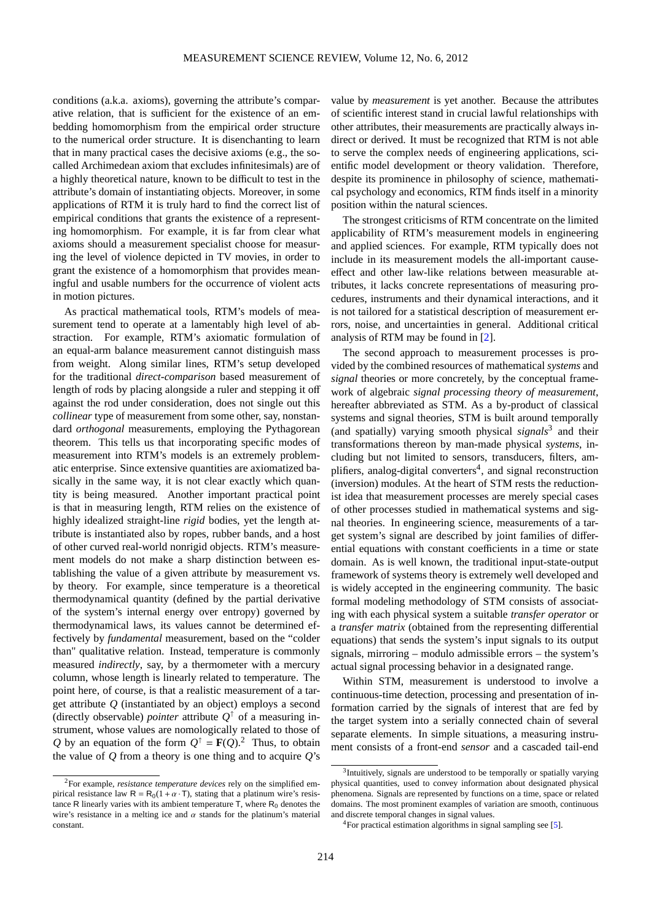conditions (a.k.a. axioms), governing the attribute's comparative relation, that is sufficient for the existence of an embedding homomorphism from the empirical order structure to the numerical order structure. It is disenchanting to learn that in many practical cases the decisive axioms (e.g., the socalled Archimedean axiom that excludes infinitesimals) are of a highly theoretical nature, known to be difficult to test in the attribute's domain of instantiating objects. Moreover, in some applications of RTM it is truly hard to find the correct list of empirical conditions that grants the existence of a representing homomorphism. For example, it is far from clear what axioms should a measurement specialist choose for measuring the level of violence depicted in TV movies, in order to grant the existence of a homomorphism that provides meaningful and usable numbers for the occurrence of violent acts in motion pictures.

As practical mathematical tools, RTM's models of measurement tend to operate at a lamentably high level of abstraction. For example, RTM's axiomatic formulation of an equal-arm balance measurement cannot distinguish mass from weight. Along similar lines, RTM's setup developed for the traditional *direct-comparison* based measurement of length of rods by placing alongside a ruler and stepping it off against the rod under consideration, does not single out this *collinear* type of measurement from some other, say, nonstandard *orthogonal* measurements, employing the Pythagorean theorem. This tells us that incorporating specific modes of measurement into RTM's models is an extremely problematic enterprise. Since extensive quantities are axiomatized basically in the same way, it is not clear exactly which quantity is being measured. Another important practical point is that in measuring length, RTM relies on the existence of highly idealized straight-line *rigid* bodies, yet the length attribute is instantiated also by ropes, rubber bands, and a host of other curved real-world nonrigid objects. RTM's measurement models do not make a sharp distinction between establishing the value of a given attribute by measurement vs. by theory. For example, since temperature is a theoretical thermodynamical quantity (defined by the partial derivative of the system's internal energy over entropy) governed by thermodynamical laws, its values cannot be determined effectively by *fundamental* measurement, based on the "colder than" qualitative relation. Instead, temperature is commonly measured *indirectly*, say, by a thermometer with a mercury column, whose length is linearly related to temperature. The point here, of course, is that a realistic measurement of a target attribute *Q* (instantiated by an object) employs a second (directly observable) *pointer* attribute  $Q^{\dagger}$  of a measuring instrument, whose values are nomologically related to those of Q by an equation of the form  $Q^{\dagger} = \mathbf{F}(Q)$ .<sup>[2](#page-1-0)</sup> Thus, to obtain the value of *Q* from a theory is one thing and to acquire *Q*'s

value by *measurement* is yet another. Because the attributes of scientific interest stand in crucial lawful relationships with other attributes, their measurements are practically always indirect or derived. It must be recognized that RTM is not able to serve the complex needs of engineering applications, scientific model development or theory validation. Therefore, despite its prominence in philosophy of science, mathematical psychology and economics, RTM finds itself in a minority position within the natural sciences.

The strongest criticisms of RTM concentrate on the limited applicability of RTM's measurement models in engineering and applied sciences. For example, RTM typically does not include in its measurement models the all-important causeeffect and other law-like relations between measurable attributes, it lacks concrete representations of measuring procedures, instruments and their dynamical interactions, and it is not tailored for a statistical description of measurement errors, noise, and uncertainties in general. Additional critical analysis of RTM may be found in [\[2\]](#page-20-1).

The second approach to measurement processes is provided by the combined resources of mathematical *systems* and *signal* theories or more concretely, by the conceptual framework of algebraic *signal processing theory of measurement*, hereafter abbreviated as STM. As a by-product of classical systems and signal theories, STM is built around temporally (and spatially) varying smooth physical *signals*[3](#page-1-1) and their transformations thereon by man-made physical *systems*, including but not limited to sensors, transducers, filters, am-plifiers, analog-digital converters<sup>[4](#page-1-2)</sup>, and signal reconstruction (inversion) modules. At the heart of STM rests the reductionist idea that measurement processes are merely special cases of other processes studied in mathematical systems and signal theories. In engineering science, measurements of a target system's signal are described by joint families of differential equations with constant coefficients in a time or state domain. As is well known, the traditional input-state-output framework of systems theory is extremely well developed and is widely accepted in the engineering community. The basic formal modeling methodology of STM consists of associating with each physical system a suitable *transfer operator* or a *transfer matrix* (obtained from the representing differential equations) that sends the system's input signals to its output signals, mirroring – modulo admissible errors – the system's actual signal processing behavior in a designated range.

Within STM, measurement is understood to involve a continuous-time detection, processing and presentation of information carried by the signals of interest that are fed by the target system into a serially connected chain of several separate elements. In simple situations, a measuring instrument consists of a front-end *sensor* and a cascaded tail-end

<span id="page-1-0"></span><sup>2</sup>For example, *resistance temperature devices* rely on the simplified empirical resistance law  $R = R_0(1 + \alpha \cdot T)$ , stating that a platinum wire's resistance R linearly varies with its ambient temperature  $T$ , where  $R_0$  denotes the wire's resistance in a melting ice and  $\alpha$  stands for the platinum's material constant.

<span id="page-1-1"></span><sup>&</sup>lt;sup>3</sup>Intuitively, signals are understood to be temporally or spatially varying physical quantities, used to convey information about designated physical phenomena. Signals are represented by functions on a time, space or related domains. The most prominent examples of variation are smooth, continuous and discrete temporal changes in signal values.

<span id="page-1-2"></span> $4$ For practical estimation algorithms in signal sampling see [\[5\]](#page-20-2).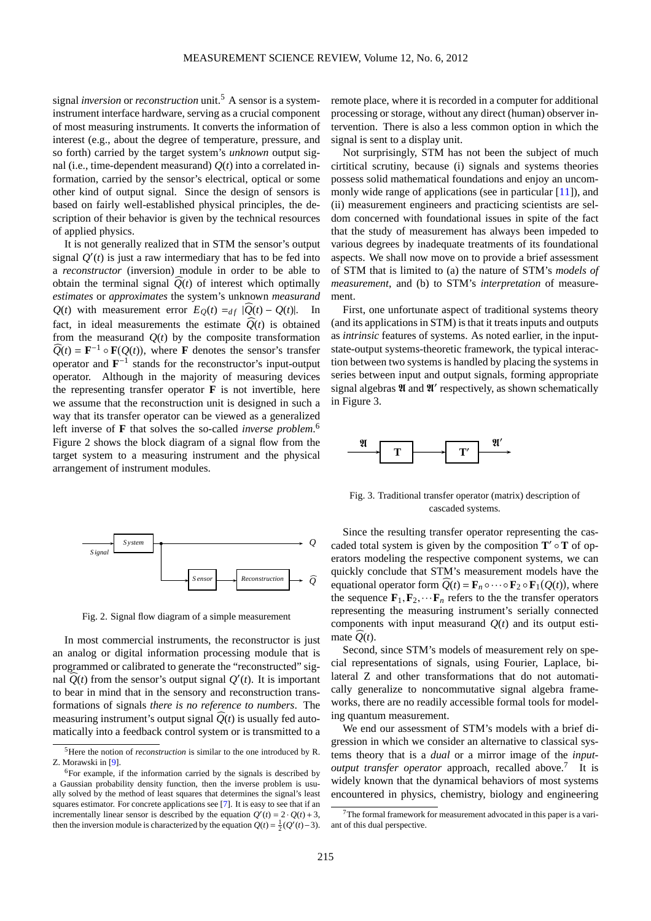signal *inversion* or *reconstruction* unit.[5](#page-2-0) A sensor is a systeminstrument interface hardware, serving as a crucial component of most measuring instruments. It converts the information of interest (e.g., about the degree of temperature, pressure, and so forth) carried by the target system's *unknown* output signal (i.e., time-dependent measurand) *Q*(*t*) into a correlated information, carried by the sensor's electrical, optical or some other kind of output signal. Since the design of sensors is based on fairly well-established physical principles, the description of their behavior is given by the technical resources of applied physics.

It is not generally realized that in STM the sensor's output signal  $Q'(t)$  is just a raw intermediary that has to be fed into a *reconstructor* (inversion) module in order to be able to obtain the terminal signal  $\tilde{Q}(t)$  of interest which optimally *estimates* or *approximates* the system's unknown *measurand Q*(*t*) with measurement error  $E_O(t) = d_f |Q(t) - Q(t)|$ . In fact, in ideal measurements the estimate  $\hat{Q}(t)$  is obtained from the measurand  $Q(t)$  by the composite transformation  $\widehat{Q}(t) = \mathbf{F}^{-1} \circ \mathbf{F}(Q(t))$ , where **F** denotes the sensor's transfer operator and  $\mathbf{F}^{-1}$  stands for the reconstructor's input-output operator. Although in the majority of measuring devices the representing transfer operator **F** is not invertible, here we assume that the reconstruction unit is designed in such a way that its transfer operator can be viewed as a generalized left inverse of **F** that solves the so-called *inverse problem*. [6](#page-2-1) Figure 2 shows the block diagram of a signal flow from the target system to a measuring instrument and the physical arrangement of instrument modules.



Fig. 2. Signal flow diagram of a simple measurement

In most commercial instruments, the reconstructor is just an analog or digital information processing module that is programmed or calibrated to generate the "reconstructed" signal  $Q(t)$  from the sensor's output signal  $Q'(t)$ . It is important to bear in mind that in the sensory and reconstruction transformations of signals *there is no reference to numbers*. The measuring instrument's output signal  $Q(t)$  is usually fed automatically into a feedback control system or is transmitted to a remote place, where it is recorded in a computer for additional processing or storage, without any direct (human) observer intervention. There is also a less common option in which the signal is sent to a display unit.

Not surprisingly, STM has not been the subject of much cirtitical scrutiny, because (i) signals and systems theories possess solid mathematical foundations and enjoy an uncommonly wide range of applications (see in particular [\[11\]](#page-20-5)), and (ii) measurement engineers and practicing scientists are seldom concerned with foundational issues in spite of the fact that the study of measurement has always been impeded to various degrees by inadequate treatments of its foundational aspects. We shall now move on to provide a brief assessment of STM that is limited to (a) the nature of STM's *models of measurement*, and (b) to STM's *interpretation* of measurement.

First, one unfortunate aspect of traditional systems theory (and its applications in STM) is that it treats inputs and outputs as *intrinsic* features of systems. As noted earlier, in the inputstate-output systems-theoretic framework, the typical interaction between two systems is handled by placing the systems in series between input and output signals, forming appropriate signal algebras  $\mathfrak A$  and  $\mathfrak A'$  respectively, as shown schematically in Figure 3.



Fig. 3. Traditional transfer operator (matrix) description of cascaded systems.

Since the resulting transfer operator representing the cascaded total system is given by the composition **T** ′ ◦**T** of operators modeling the respective component systems, we can quickly conclude that STM's measurement models have the equational operator form  $\widehat{Q}(t) = \mathbf{F}_n \circ \cdots \circ \mathbf{F}_2 \circ \mathbf{F}_1(Q(t))$ , where the sequence  $\mathbf{F}_1, \mathbf{F}_2, \cdots, \mathbf{F}_n$  refers to the transfer operators representing the measuring instrument's serially connected components with input measurand  $Q(t)$  and its output estimate  $Q(t)$ .

Second, since STM's models of measurement rely on special representations of signals, using Fourier, Laplace, bilateral Z and other transformations that do not automatically generalize to noncommutative signal algebra frameworks, there are no readily accessible formal tools for modeling quantum measurement.

We end our assessment of STM's models with a brief digression in which we consider an alternative to classical systems theory that is a *dual* or a mirror image of the *inputoutput transfer operator* approach, recalled above.[7](#page-2-2) It is widely known that the dynamical behaviors of most systems encountered in physics, chemistry, biology and engineering

<span id="page-2-0"></span><sup>5</sup>Here the notion of *reconstruction* is similar to the one introduced by R. Z. Morawski in [\[9\]](#page-20-3).

<span id="page-2-1"></span> ${}^{6}$ For example, if the information carried by the signals is described by a Gaussian probability density function, then the inverse problem is usually solved by the method of least squares that determines the signal's least squares estimator. For concrete applications see [\[7\]](#page-20-4). It is easy to see that if an incrementally linear sensor is described by the equation  $Q'(t) = 2 \cdot Q(t) + 3$ , then the inversion module is characterized by the equation  $Q(t) = \frac{1}{2}(Q'(t) - 3)$ .

<span id="page-2-2"></span> $7$ The formal framework for measurement advocated in this paper is a variant of this dual perspective.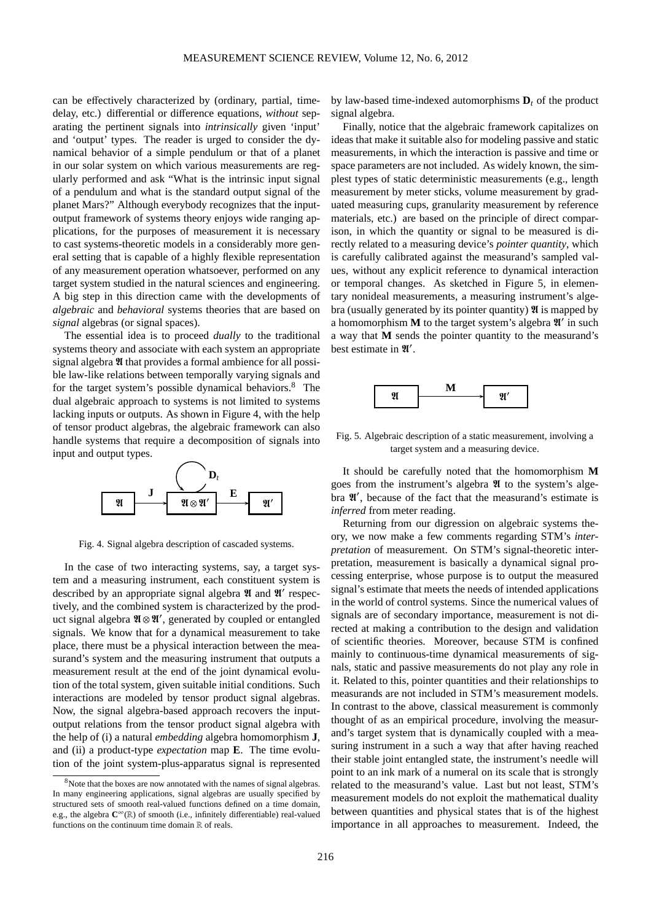can be effectively characterized by (ordinary, partial, timedelay, etc.) differential or difference equations, *without* separating the pertinent signals into *intrinsically* given 'input' and 'output' types. The reader is urged to consider the dynamical behavior of a simple pendulum or that of a planet in our solar system on which various measurements are regularly performed and ask "What is the intrinsic input signal of a pendulum and what is the standard output signal of the planet Mars?" Although everybody recognizes that the inputoutput framework of systems theory enjoys wide ranging applications, for the purposes of measurement it is necessary to cast systems-theoretic models in a considerably more general setting that is capable of a highly flexible representation of any measurement operation whatsoever, performed on any target system studied in the natural sciences and engineering. A big step in this direction came with the developments of *algebraic* and *behavioral* systems theories that are based on *signal* algebras (or signal spaces).

The essential idea is to proceed *dually* to the traditional systems theory and associate with each system an appropriate signal algebra  $\mathfrak A$  that provides a formal ambience for all possible law-like relations between temporally varying signals and for the target system's possible dynamical behaviors.[8](#page-3-0) The dual algebraic approach to systems is not limited to systems lacking inputs or outputs. As shown in Figure 4, with the help of tensor product algebras, the algebraic framework can also handle systems that require a decomposition of signals into input and output types.



Fig. 4. Signal algebra description of cascaded systems.

In the case of two interacting systems, say, a target system and a measuring instrument, each constituent system is described by an appropriate signal algebra  $\mathfrak A$  and  $\mathfrak A'$  respectively, and the combined system is characterized by the product signal algebra  $\mathfrak{A} \otimes \mathfrak{A}'$ , generated by coupled or entangled signals. We know that for a dynamical measurement to take place, there must be a physical interaction between the measurand's system and the measuring instrument that outputs a measurement result at the end of the joint dynamical evolution of the total system, given suitable initial conditions. Such interactions are modeled by tensor product signal algebras. Now, the signal algebra-based approach recovers the inputoutput relations from the tensor product signal algebra with the help of (i) a natural *embedding* algebra homomorphism **J**, and (ii) a product-type *expectation* map **E**. The time evolution of the joint system-plus-apparatus signal is represented by law-based time-indexed automorphisms  $\mathbf{D}_t$  of the product signal algebra.

Finally, notice that the algebraic framework capitalizes on ideas that make it suitable also for modeling passive and static measurements, in which the interaction is passive and time or space parameters are not included. As widely known, the simplest types of static deterministic measurements (e.g., length measurement by meter sticks, volume measurement by graduated measuring cups, granularity measurement by reference materials, etc.) are based on the principle of direct comparison, in which the quantity or signal to be measured is directly related to a measuring device's *pointer quantity*, which is carefully calibrated against the measurand's sampled values, without any explicit reference to dynamical interaction or temporal changes. As sketched in Figure 5, in elementary nonideal measurements, a measuring instrument's algebra (usually generated by its pointer quantity)  $\mathfrak V$  is mapped by a homomorphism  $M$  to the target system's algebra  $\mathfrak{A}'$  in such a way that **M** sends the pointer quantity to the measurand's best estimate in  $\mathfrak{A}'$ .



Fig. 5. Algebraic description of a static measurement, involving a target system and a measuring device.

It should be carefully noted that the homomorphism **M** goes from the instrument's algebra  $\mathfrak A$  to the system's algebra  $\mathfrak{A}'$ , because of the fact that the measurand's estimate is *inferred* from meter reading.

Returning from our digression on algebraic systems theory, we now make a few comments regarding STM's *interpretation* of measurement. On STM's signal-theoretic interpretation, measurement is basically a dynamical signal processing enterprise, whose purpose is to output the measured signal's estimate that meets the needs of intended applications in the world of control systems. Since the numerical values of signals are of secondary importance, measurement is not directed at making a contribution to the design and validation of scientific theories. Moreover, because STM is confined mainly to continuous-time dynamical measurements of signals, static and passive measurements do not play any role in it. Related to this, pointer quantities and their relationships to measurands are not included in STM's measurement models. In contrast to the above, classical measurement is commonly thought of as an empirical procedure, involving the measurand's target system that is dynamically coupled with a measuring instrument in a such a way that after having reached their stable joint entangled state, the instrument's needle will point to an ink mark of a numeral on its scale that is strongly related to the measurand's value. Last but not least, STM's measurement models do not exploit the mathematical duality between quantities and physical states that is of the highest importance in all approaches to measurement. Indeed, the

<span id="page-3-0"></span><sup>&</sup>lt;sup>8</sup>Note that the boxes are now annotated with the names of signal algebras. In many engineering applications, signal algebras are usually specified by structured sets of smooth real-valued functions defined on a time domain, e.g., the algebra **C** <sup>∞</sup>(R) of smooth (i.e., infinitely differentiable) real-valued functions on the continuum time domain  $\mathbb R$  of reals.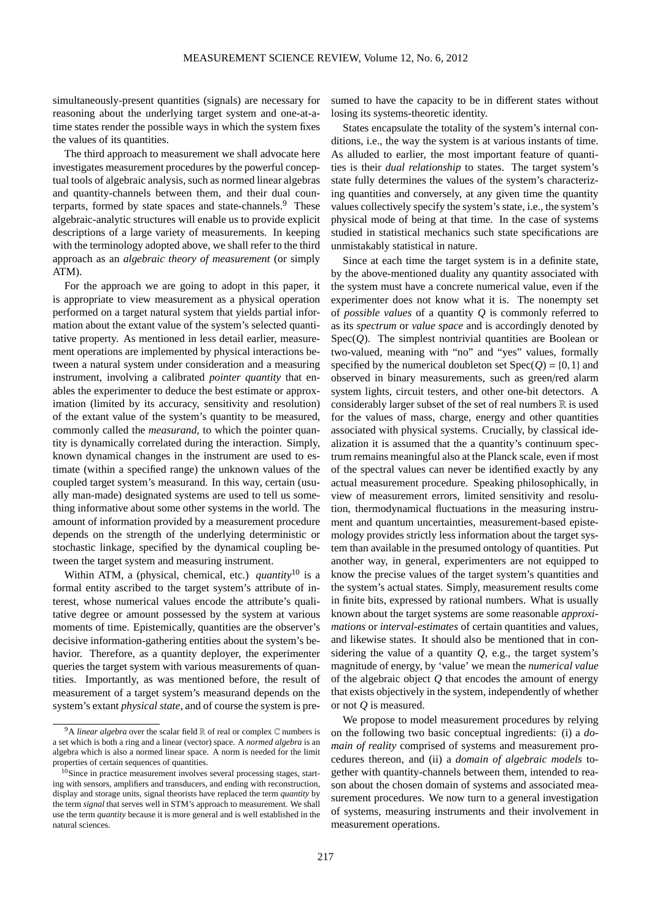simultaneously-present quantities (signals) are necessary for reasoning about the underlying target system and one-at-atime states render the possible ways in which the system fixes the values of its quantities.

The third approach to measurement we shall advocate here investigates measurement procedures by the powerful conceptual tools of algebraic analysis, such as normed linear algebras and quantity-channels between them, and their dual coun-terparts, formed by state spaces and state-channels.<sup>[9](#page-4-0)</sup> These algebraic-analytic structures will enable us to provide explicit descriptions of a large variety of measurements. In keeping with the terminology adopted above, we shall refer to the third approach as an *algebraic theory of measurement* (or simply ATM).

For the approach we are going to adopt in this paper, it is appropriate to view measurement as a physical operation performed on a target natural system that yields partial information about the extant value of the system's selected quantitative property. As mentioned in less detail earlier, measurement operations are implemented by physical interactions between a natural system under consideration and a measuring instrument, involving a calibrated *pointer quantity* that enables the experimenter to deduce the best estimate or approximation (limited by its accuracy, sensitivity and resolution) of the extant value of the system's quantity to be measured, commonly called the *measurand*, to which the pointer quantity is dynamically correlated during the interaction. Simply, known dynamical changes in the instrument are used to estimate (within a specified range) the unknown values of the coupled target system's measurand. In this way, certain (usually man-made) designated systems are used to tell us something informative about some other systems in the world. The amount of information provided by a measurement procedure depends on the strength of the underlying deterministic or stochastic linkage, specified by the dynamical coupling between the target system and measuring instrument.

Within ATM, a (physical, chemical, etc.) *quantity*[10](#page-4-1) is a formal entity ascribed to the target system's attribute of interest, whose numerical values encode the attribute's qualitative degree or amount possessed by the system at various moments of time. Epistemically, quantities are the observer's decisive information-gathering entities about the system's behavior. Therefore, as a quantity deployer, the experimenter queries the target system with various measurements of quantities. Importantly, as was mentioned before, the result of measurement of a target system's measurand depends on the system's extant *physical state*, and of course the system is presumed to have the capacity to be in different states without losing its systems-theoretic identity.

States encapsulate the totality of the system's internal conditions, i.e., the way the system is at various instants of time. As alluded to earlier, the most important feature of quantities is their *dual relationship* to states. The target system's state fully determines the values of the system's characterizing quantities and conversely, at any given time the quantity values collectively specify the system's state, i.e., the system's physical mode of being at that time. In the case of systems studied in statistical mechanics such state specifications are unmistakably statistical in nature.

Since at each time the target system is in a definite state, by the above-mentioned duality any quantity associated with the system must have a concrete numerical value, even if the experimenter does not know what it is. The nonempty set of *possible values* of a quantity *Q* is commonly referred to as its *spectrum* or *value space* and is accordingly denoted by  $Spec(Q)$ . The simplest nontrivial quantities are Boolean or two-valued, meaning with "no" and "yes" values, formally specified by the numerical doubleton set  $Spec(Q) = \{0, 1\}$  and observed in binary measurements, such as green/red alarm system lights, circuit testers, and other one-bit detectors. A considerably larger subset of the set of real numbers  $\mathbb R$  is used for the values of mass, charge, energy and other quantities associated with physical systems. Crucially, by classical idealization it is assumed that the a quantity's continuum spectrum remains meaningful also at the Planck scale, even if most of the spectral values can never be identified exactly by any actual measurement procedure. Speaking philosophically, in view of measurement errors, limited sensitivity and resolution, thermodynamical fluctuations in the measuring instrument and quantum uncertainties, measurement-based epistemology provides strictly less information about the target system than available in the presumed ontology of quantities. Put another way, in general, experimenters are not equipped to know the precise values of the target system's quantities and the system's actual states. Simply, measurement results come in finite bits, expressed by rational numbers. What is usually known about the target systems are some reasonable *approximations* or *interval-estimates* of certain quantities and values, and likewise states. It should also be mentioned that in considering the value of a quantity  $Q$ , e.g., the target system's magnitude of energy, by 'value' we mean the *numerical value* of the algebraic object *Q* that encodes the amount of energy that exists objectively in the system, independently of whether or not *Q* is measured.

We propose to model measurement procedures by relying on the following two basic conceptual ingredients: (i) a *domain of reality* comprised of systems and measurement procedures thereon, and (ii) a *domain of algebraic models* together with quantity-channels between them, intended to reason about the chosen domain of systems and associated measurement procedures. We now turn to a general investigation of systems, measuring instruments and their involvement in measurement operations.

<span id="page-4-0"></span> $9A linear algebra$  over the scalar field  $\mathbb R$  of real or complex  $\mathbb C$  numbers is a set which is both a ring and a linear (vector) space. A *normed algebra* is an algebra which is also a normed linear space. A norm is needed for the limit properties of certain sequences of quantities.

<span id="page-4-1"></span> $10$ Since in practice measurement involves several processing stages, starting with sensors, amplifiers and transducers, and ending with reconstruction, display and storage units, signal theorists have replaced the term *quantity* by the term *signal* that serves well in STM's approach to measurement. We shall use the term *quantity* because it is more general and is well established in the natural sciences.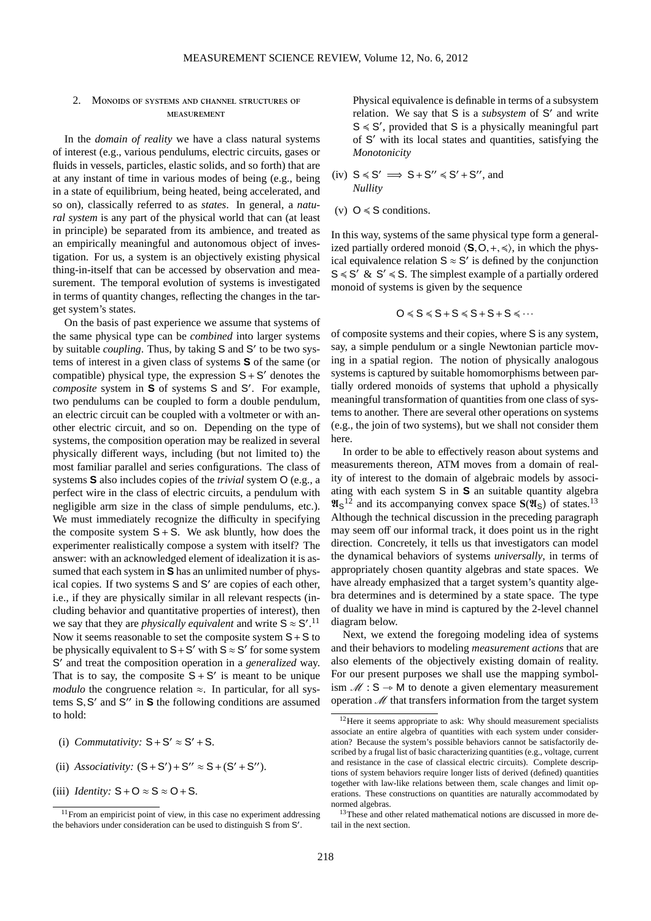## 2. Monoids of systems and channel structures of measurement

In the *domain of reality* we have a class natural systems of interest (e.g., various pendulums, electric circuits, gases or fluids in vessels, particles, elastic solids, and so forth) that are at any instant of time in various modes of being (e.g., being in a state of equilibrium, being heated, being accelerated, and so on), classically referred to as *states*. In general, a *natural system* is any part of the physical world that can (at least in principle) be separated from its ambience, and treated as an empirically meaningful and autonomous object of investigation. For us, a system is an objectively existing physical thing-in-itself that can be accessed by observation and measurement. The temporal evolution of systems is investigated in terms of quantity changes, reflecting the changes in the target system's states.

On the basis of past experience we assume that systems of the same physical type can be *combined* into larger systems by suitable *coupling*. Thus, by taking S and S' to be two systems of interest in a given class of systems **S** of the same (or compatible) physical type, the expression  $S + S'$  denotes the *composite* system in **S** of systems S and S ′ . For example, two pendulums can be coupled to form a double pendulum, an electric circuit can be coupled with a voltmeter or with another electric circuit, and so on. Depending on the type of systems, the composition operation may be realized in several physically different ways, including (but not limited to) the most familiar parallel and series configurations. The class of systems **S** also includes copies of the *trivial* system O (e.g., a perfect wire in the class of electric circuits, a pendulum with negligible arm size in the class of simple pendulums, etc.). We must immediately recognize the difficulty in specifying the composite system  $S + S$ . We ask bluntly, how does the experimenter realistically compose a system with itself? The answer: with an acknowledged element of idealization it is assumed that each system in **S** has an unlimited number of physical copies. If two systems S and S' are copies of each other, i.e., if they are physically similar in all relevant respects (including behavior and quantitative properties of interest), then we say that they are *physically equivalent* and write  $S \approx S'$ .<sup>[11](#page-5-0)</sup> Now it seems reasonable to set the composite system  $S + S$  to be physically equivalent to  $S + S'$  with  $S \approx S'$  for some system S ′ and treat the composition operation in a *generalized* way. That is to say, the composite  $S + S'$  is meant to be unique *modulo* the congruence relation ≈. In particular, for all systems S,S ′ and S ′′ in **S** the following conditions are assumed to hold:

- (i) *Commutativity:*  $S + S' \approx S' + S$ .
- (ii) *Associativity:*  $(S + S') + S'' \approx S + (S' + S'')$ .
- (iii) *Identity*:  $S + O \approx S \approx O + S$ .

Physical equivalence is definable in terms of a subsystem relation. We say that S is a *subsystem* of S' and write  $S \leq S'$ , provided that S is a physically meaningful part of S ′ with its local states and quantities, satisfying the *Monotonicity*

(iv) 
$$
S \le S' \implies S + S'' \le S' + S''
$$
, and *Nultiply*

(v)  $Q \leq S$  conditions.

In this way, systems of the same physical type form a generalized partially ordered monoid  $\langle$ **S**, O, +,  $\leq$ ), in which the physical equivalence relation  $S \approx S'$  is defined by the conjunction  $S \le S' \& S' \le S$ . The simplest example of a partially ordered monoid of systems is given by the sequence

$$
O \leqslant S \leqslant S + S \leqslant S + S + S \leqslant \cdots
$$

of composite systems and their copies, where S is any system, say, a simple pendulum or a single Newtonian particle moving in a spatial region. The notion of physically analogous systems is captured by suitable homomorphisms between partially ordered monoids of systems that uphold a physically meaningful transformation of quantities from one class of systems to another. There are several other operations on systems (e.g., the join of two systems), but we shall not consider them here.

In order to be able to effectively reason about systems and measurements thereon, ATM moves from a domain of reality of interest to the domain of algebraic models by associating with each system S in **S** an suitable quantity algebra  $\mathfrak{A}_S^{12}$  $\mathfrak{A}_S^{12}$  $\mathfrak{A}_S^{12}$  and its accompanying convex space  $S(\mathfrak{A}_S)$  of states.<sup>[13](#page-5-2)</sup> Although the technical discussion in the preceding paragraph may seem off our informal track, it does point us in the right direction. Concretely, it tells us that investigators can model the dynamical behaviors of systems *universally*, in terms of appropriately chosen quantity algebras and state spaces. We have already emphasized that a target system's quantity algebra determines and is determined by a state space. The type of duality we have in mind is captured by the 2-level channel diagram below.

Next, we extend the foregoing modeling idea of systems and their behaviors to modeling *measurement actions* that are also elements of the objectively existing domain of reality. For our present purposes we shall use the mapping symbolism  $\mathcal{M}$  : S  $\rightarrow$  M to denote a given elementary measurement operation  $M$  that transfers information from the target system

<span id="page-5-0"></span> $11$  From an empiricist point of view, in this case no experiment addressing the behaviors under consideration can be used to distinguish S from S ′ .

<span id="page-5-1"></span> $12$  Here it seems appropriate to ask: Why should measurement specialists associate an entire algebra of quantities with each system under consideration? Because the system's possible behaviors cannot be satisfactorily described by a frugal list of basic characterizing quantities (e.g., voltage, current and resistance in the case of classical electric circuits). Complete descriptions of system behaviors require longer lists of derived (defined) quantities together with law-like relations between them, scale changes and limit operations. These constructions on quantities are naturally accommodated by normed algebras.

<span id="page-5-2"></span><sup>&</sup>lt;sup>13</sup>These and other related mathematical notions are discussed in more detail in the next section.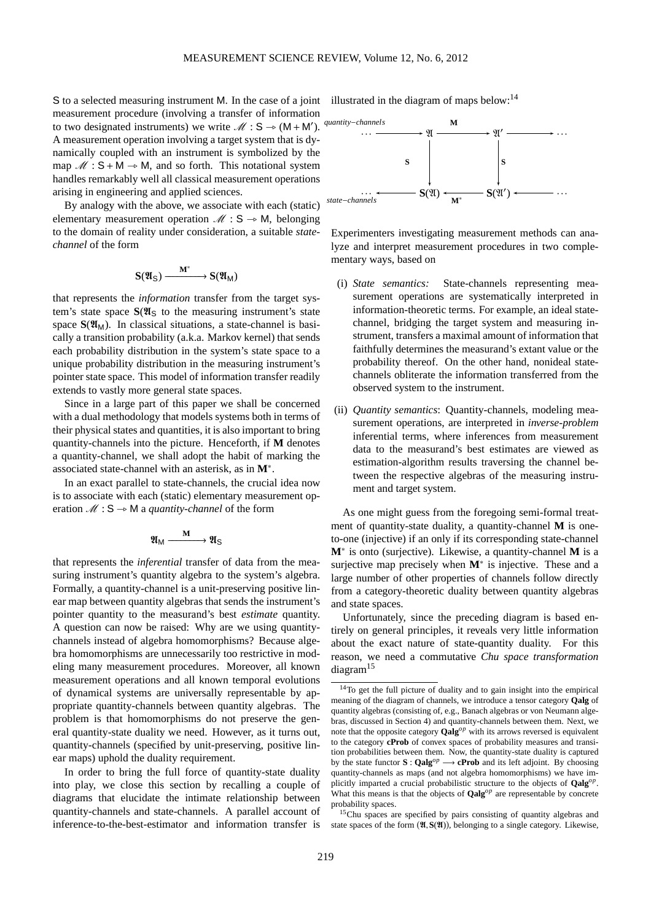S to a selected measuring instrument M. In the case of a joint measurement procedure (involving a transfer of information to two designated instruments) we write  $\mathcal{M}: S \rightarrow (M + M')$ . A measurement operation involving a target system that is dynamically coupled with an instrument is symbolized by the map  $M : S + M \rightarrow M$ , and so forth. This notational system handles remarkably well all classical measurement operations arising in engineering and applied sciences.

By analogy with the above, we associate with each (static) elementary measurement operation  $\mathcal{M} : S \rightarrow M$ , belonging to the domain of reality under consideration, a suitable *statechannel* of the form

$$
\mathbf{S}(\mathfrak{A}_{\mathsf{S}}) \xrightarrow{\mathbf{M}^*} \mathbf{S}(\mathfrak{A}_{\mathsf{M}})
$$

that represents the *information* transfer from the target system's state space  $S(\mathfrak{A}_S)$  to the measuring instrument's state space  $S(\mathfrak{A}_{M})$ . In classical situations, a state-channel is basically a transition probability (a.k.a. Markov kernel) that sends each probability distribution in the system's state space to a unique probability distribution in the measuring instrument's pointer state space. This model of information transfer readily extends to vastly more general state spaces.

Since in a large part of this paper we shall be concerned with a dual methodology that models systems both in terms of their physical states and quantities, it is also important to bring quantity-channels into the picture. Henceforth, if **M** denotes a quantity-channel, we shall adopt the habit of marking the associated state-channel with an asterisk, as in **M**∗ .

In an exact parallel to state-channels, the crucial idea now is to associate with each (static) elementary measurement operation  $\mathcal{M}: S \rightarrow M$  a *quantity-channel* of the form

$$
\mathfrak{A}_{\mathsf{M}}\xrightarrow{\mathsf{M}}\mathfrak{A}_{\mathsf{S}}
$$

that represents the *inferential* transfer of data from the measuring instrument's quantity algebra to the system's algebra. Formally, a quantity-channel is a unit-preserving positive linear map between quantity algebras that sends the instrument's pointer quantity to the measurand's best *estimate* quantity. A question can now be raised: Why are we using quantitychannels instead of algebra homomorphisms? Because algebra homomorphisms are unnecessarily too restrictive in modeling many measurement procedures. Moreover, all known measurement operations and all known temporal evolutions of dynamical systems are universally representable by appropriate quantity-channels between quantity algebras. The problem is that homomorphisms do not preserve the general quantity-state duality we need. However, as it turns out, quantity-channels (specified by unit-preserving, positive linear maps) uphold the duality requirement.

In order to bring the full force of quantity-state duality into play, we close this section by recalling a couple of diagrams that elucidate the intimate relationship between quantity-channels and state-channels. A parallel account of inference-to-the-best-estimator and information transfer is

illustrated in the diagram of maps below: $14$ 



Experimenters investigating measurement methods can analyze and interpret measurement procedures in two complementary ways, based on

- (i) *State semantics:* State-channels representing measurement operations are systematically interpreted in information-theoretic terms. For example, an ideal statechannel, bridging the target system and measuring instrument, transfers a maximal amount of information that faithfully determines the measurand's extant value or the probability thereof. On the other hand, nonideal statechannels obliterate the information transferred from the observed system to the instrument.
- (ii) *Quantity semantics*: Quantity-channels, modeling measurement operations, are interpreted in *inverse-problem* inferential terms, where inferences from measurement data to the measurand's best estimates are viewed as estimation-algorithm results traversing the channel between the respective algebras of the measuring instrument and target system.

As one might guess from the foregoing semi-formal treatment of quantity-state duality, a quantity-channel **M** is oneto-one (injective) if an only if its corresponding state-channel **M**∗ is onto (surjective). Likewise, a quantity-channel **M** is a surjective map precisely when **M**∗ is injective. These and a large number of other properties of channels follow directly from a category-theoretic duality between quantity algebras and state spaces.

Unfortunately, since the preceding diagram is based entirely on general principles, it reveals very little information about the exact nature of state-quantity duality. For this reason, we need a commutative *Chu space transformation* diagram[15](#page-6-1)

<span id="page-6-1"></span><sup>15</sup>Chu spaces are specified by pairs consisting of quantity algebras and state spaces of the form  $(2I, S(2I))$ , belonging to a single category. Likewise,

<span id="page-6-0"></span><sup>&</sup>lt;sup>14</sup>To get the full picture of duality and to gain insight into the empirical meaning of the diagram of channels, we introduce a tensor category **Qalg** of quantity algebras (consisting of, e.g., Banach algebras or von Neumann algebras, discussed in Section 4) and quantity-channels between them. Next, we note that the opposite category **Qalg***op* with its arrows reversed is equivalent to the category **cProb** of convex spaces of probability measures and transition probabilities between them. Now, the quantity-state duality is captured by the state functor  $S : \text{Qalg}^{op} \longrightarrow \text{cProb}$  and its left adjoint. By choosing quantity-channels as maps (and not algebra homomorphisms) we have implicitly imparted a crucial probabilistic structure to the objects of **Qalg***op* . What this means is that the objects of **Qalg***op* are representable by concrete probability spaces.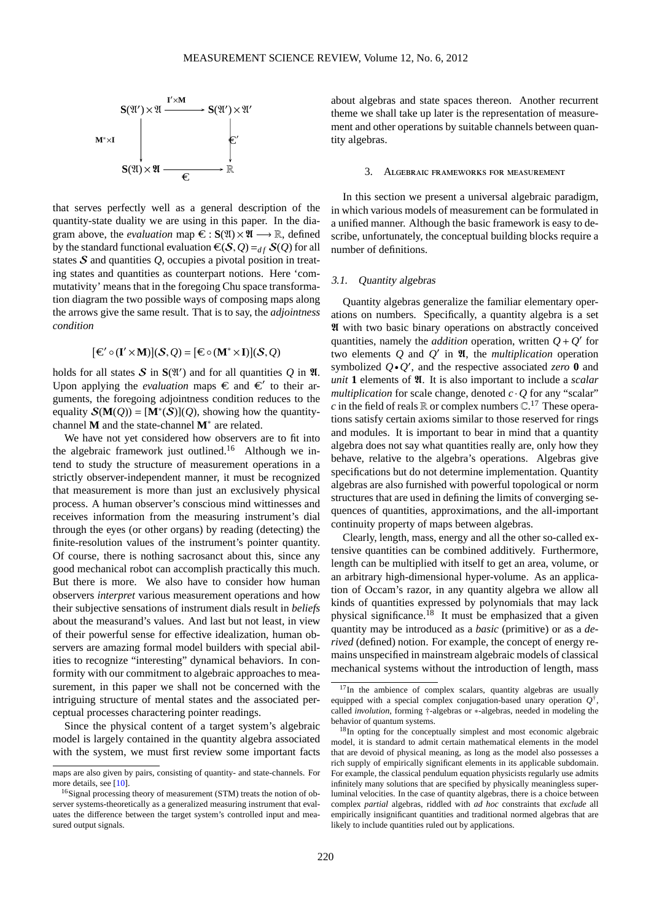

that serves perfectly well as a general description of the quantity-state duality we are using in this paper. In the diagram above, the *evaluation* map  $\epsilon$ : **S**( $\mathfrak{A}$ ) ×  $\mathfrak{A}$  → R, defined by the standard functional evaluation  $\epsilon(s, q) =_{df} S(q)$  for all states S and quantities *Q*, occupies a pivotal position in treating states and quantities as counterpart notions. Here 'commutativity' means that in the foregoing Chu space transformation diagram the two possible ways of composing maps along the arrows give the same result. That is to say, the *adjointness condition*

$$
[\textbf{E}'\circ(\textbf{I}'\!\times\! \textbf{M})](\mathcal{S},\mathcal{Q})=[\textbf{E}\circ(\textbf{M}^*\!\times\! \textbf{I})](\mathcal{S},\mathcal{Q})
$$

holds for all states  $S$  in  $S(\mathfrak{A}')$  and for all quantities  $Q$  in  $\mathfrak{A}$ . Upon applying the *evaluation* maps  $\epsilon$  and  $\epsilon'$  to their arguments, the foregoing adjointness condition reduces to the equality  $S(M(Q)) = [M^*(S)](Q)$ , showing how the quantitychannel **M** and the state-channel **M**∗ are related.

We have not yet considered how observers are to fit into the algebraic framework just outlined.<sup>[16](#page-7-0)</sup> Although we intend to study the structure of measurement operations in a strictly observer-independent manner, it must be recognized that measurement is more than just an exclusively physical process. A human observer's conscious mind wittinesses and receives information from the measuring instrument's dial through the eyes (or other organs) by reading (detecting) the finite-resolution values of the instrument's pointer quantity. Of course, there is nothing sacrosanct about this, since any good mechanical robot can accomplish practically this much. But there is more. We also have to consider how human observers *interpret* various measurement operations and how their subjective sensations of instrument dials result in *beliefs* about the measurand's values. And last but not least, in view of their powerful sense for effective idealization, human observers are amazing formal model builders with special abilities to recognize "interesting" dynamical behaviors. In conformity with our commitment to algebraic approaches to measurement, in this paper we shall not be concerned with the intriguing structure of mental states and the associated perceptual processes charactering pointer readings.

Since the physical content of a target system's algebraic model is largely contained in the quantity algebra associated with the system, we must first review some important facts

about algebras and state spaces thereon. Another recurrent theme we shall take up later is the representation of measurement and other operations by suitable channels between quantity algebras.

## 3. Algebraic frameworks for measurement

In this section we present a universal algebraic paradigm, in which various models of measurement can be formulated in a unified manner. Although the basic framework is easy to describe, unfortunately, the conceptual building blocks require a number of definitions.

## 3.1. Quantity algebras

Quantity algebras generalize the familiar elementary operations on numbers. Specifically, a quantity algebra is a set A with two basic binary operations on abstractly conceived quantities, namely the *addition* operation, written *Q* + *Q* ′ for two elements  $Q$  and  $Q'$  in  $\mathfrak{A}$ , the *multiplication* operation symbolized *Q*•*Q* ′ , and the respective associated *zero* **0** and *unit* **1** elements of **2***l*. It is also important to include a *scalar multiplication* for scale change, denoted  $c \cdot O$  for any "scalar"  $c$  in the field of reals  $\mathbb R$  or complex numbers  $\mathbb C$ .<sup>[17](#page-7-1)</sup> These operations satisfy certain axioms similar to those reserved for rings and modules. It is important to bear in mind that a quantity algebra does not say what quantities really are, only how they behave, relative to the algebra's operations. Algebras give specifications but do not determine implementation. Quantity algebras are also furnished with powerful topological or norm structures that are used in defining the limits of converging sequences of quantities, approximations, and the all-important continuity property of maps between algebras.

Clearly, length, mass, energy and all the other so-called extensive quantities can be combined additively. Furthermore, length can be multiplied with itself to get an area, volume, or an arbitrary high-dimensional hyper-volume. As an application of Occam's razor, in any quantity algebra we allow all kinds of quantities expressed by polynomials that may lack physical significance.<sup>[18](#page-7-2)</sup> It must be emphasized that a given quantity may be introduced as a *basic* (primitive) or as a *derived* (defined) notion. For example, the concept of energy remains unspecified in mainstream algebraic models of classical mechanical systems without the introduction of length, mass

maps are also given by pairs, consisting of quantity- and state-channels. For more details, see [\[10\]](#page-20-6).

<span id="page-7-0"></span><sup>16</sup>Signal processing theory of measurement (STM) treats the notion of observer systems-theoretically as a generalized measuring instrument that evaluates the difference between the target system's controlled input and measured output signals.

<span id="page-7-1"></span><sup>&</sup>lt;sup>17</sup>In the ambience of complex scalars, quantity algebras are usually equipped with a special complex conjugation-based unary operation *Q* † , called *involution*, forming †-algebras or ∗-algebras, needed in modeling the behavior of quantum systems.

<span id="page-7-2"></span><sup>&</sup>lt;sup>18</sup>In opting for the conceptually simplest and most economic algebraic model, it is standard to admit certain mathematical elements in the model that are devoid of physical meaning, as long as the model also possesses a rich supply of empirically significant elements in its applicable subdomain. For example, the classical pendulum equation physicists regularly use admits infinitely many solutions that are specified by physically meaningless superluminal velocities. In the case of quantity algebras, there is a choice between complex *partial* algebras, riddled with *ad hoc* constraints that *exclude* all empirically insignificant quantities and traditional normed algebras that are likely to include quantities ruled out by applications.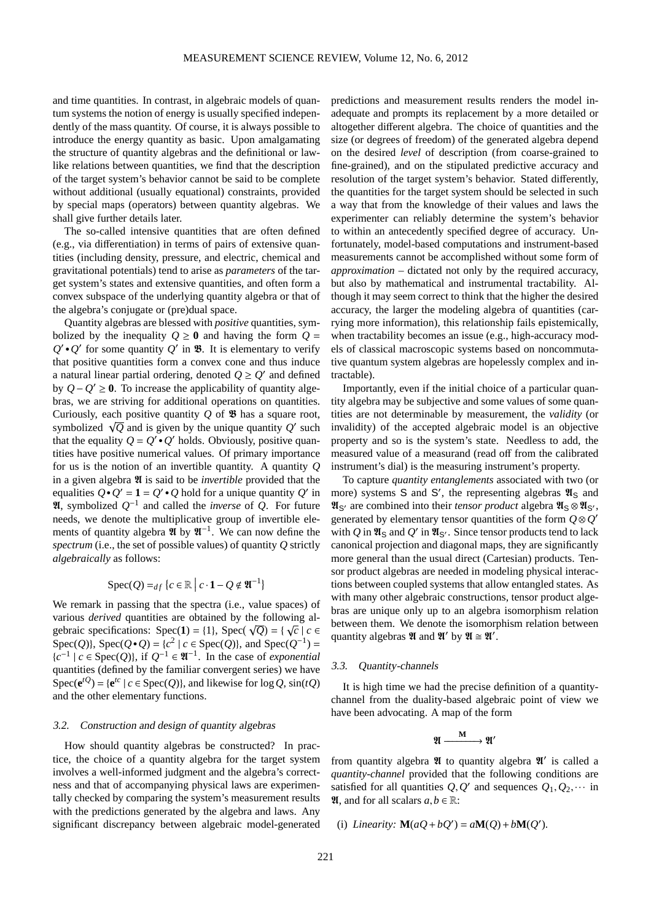and time quantities. In contrast, in algebraic models of quantum systems the notion of energy is usually specified independently of the mass quantity. Of course, it is always possible to introduce the energy quantity as basic. Upon amalgamating the structure of quantity algebras and the definitional or lawlike relations between quantities, we find that the description of the target system's behavior cannot be said to be complete without additional (usually equational) constraints, provided by special maps (operators) between quantity algebras. We shall give further details later.

The so-called intensive quantities that are often defined (e.g., via differentiation) in terms of pairs of extensive quantities (including density, pressure, and electric, chemical and gravitational potentials) tend to arise as *parameters* of the target system's states and extensive quantities, and often form a convex subspace of the underlying quantity algebra or that of the algebra's conjugate or (pre)dual space.

Quantity algebras are blessed with *positive* quantities, symbolized by the inequality  $Q \ge 0$  and having the form  $Q =$  $Q' \cdot Q'$  for some quantity  $Q'$  in  $\mathfrak{B}$ . It is elementary to verify that positive quantities form a convex cone and thus induce a natural linear partial ordering, denoted  $Q \ge Q'$  and defined by  $Q - Q' \ge 0$ . To increase the applicability of quantity algebras, we are striving for additional operations on quantities. Curiously, each positive quantity  $Q$  of  $\mathfrak{B}$  has a square root, symbolized  $\sqrt{Q}$  and is given by the unique quantity *Q'* such that the equality  $Q = Q' \cdot Q'$  holds. Obviously, positive quantities have positive numerical values. Of primary importance for us is the notion of an invertible quantity. A quantity *Q* in a given algebra A is said to be *invertible* provided that the equalities  $Q \cdot Q' = 1 = Q' \cdot Q$  hold for a unique quantity  $Q'$  in  $\mathfrak{A}$ , symbolized  $Q^{-1}$  and called the *inverse* of  $Q$ . For future needs, we denote the multiplicative group of invertible elements of quantity algebra  $\mathfrak{A}$  by  $\mathfrak{A}^{-1}$ . We can now define the *spectrum* (i.e., the set of possible values) of quantity *Q* strictly *algebraically* as follows:

$$
\operatorname{Spec}(Q) =_{df} \{c \in \mathbb{R} \mid c \cdot \mathbf{1} - Q \notin \mathfrak{A}^{-1}\}
$$

We remark in passing that the spectra (i.e., value spaces) of various *derived* quantities are obtained by the following algebraic specifications: Spec(1) = {1}, Spec( $\sqrt{Q}$ ) = { $\sqrt{c}$  |  $c \in$ Spec(*Q*)}, Spec(*Q*•*Q*) = { $c^2$  |  $c \in \text{Spec}(Q)$ }, and Spec( $Q^{-1}$ ) =  ${c}^{-1}$  | *c* ∈ Spec(*Q*)}, if  $Q^{-1}$  ∈  $\mathfrak{A}^{-1}$ . In the case of *exponential* quantities (defined by the familiar convergent series) we have Spec( $e^{tQ}$ ) = { $e^{tc}$  |  $c \in \text{Spec}(Q)$ }, and likewise for log *Q*, sin(*tQ*) and the other elementary functions.

### 3.2. Construction and design of quantity algebras

How should quantity algebras be constructed? In practice, the choice of a quantity algebra for the target system involves a well-informed judgment and the algebra's correctness and that of accompanying physical laws are experimentally checked by comparing the system's measurement results with the predictions generated by the algebra and laws. Any significant discrepancy between algebraic model-generated predictions and measurement results renders the model inadequate and prompts its replacement by a more detailed or altogether different algebra. The choice of quantities and the size (or degrees of freedom) of the generated algebra depend on the desired *level* of description (from coarse-grained to fine-grained), and on the stipulated predictive accuracy and resolution of the target system's behavior. Stated differently, the quantities for the target system should be selected in such a way that from the knowledge of their values and laws the experimenter can reliably determine the system's behavior to within an antecedently specified degree of accuracy. Unfortunately, model-based computations and instrument-based measurements cannot be accomplished without some form of *approximation* – dictated not only by the required accuracy, but also by mathematical and instrumental tractability. Although it may seem correct to think that the higher the desired accuracy, the larger the modeling algebra of quantities (carrying more information), this relationship fails epistemically, when tractability becomes an issue (e.g., high-accuracy models of classical macroscopic systems based on noncommutative quantum system algebras are hopelessly complex and intractable).

Importantly, even if the initial choice of a particular quantity algebra may be subjective and some values of some quantities are not determinable by measurement, the *validity* (or invalidity) of the accepted algebraic model is an objective property and so is the system's state. Needless to add, the measured value of a measurand (read off from the calibrated instrument's dial) is the measuring instrument's property.

To capture *quantity entanglements* associated with two (or more) systems S and S', the representing algebras  $\mathfrak{A}_S$  and  $\mathfrak{A}_{S'}$  are combined into their *tensor product* algebra  $\mathfrak{A}_{S} \otimes \mathfrak{A}_{S'}$ , generated by elementary tensor quantities of the form *Q* ⊗ *Q* ′ with  $Q$  in  $\mathfrak{A}_S$  and  $Q'$  in  $\mathfrak{A}_{S'}$ . Since tensor products tend to lack canonical projection and diagonal maps, they are significantly more general than the usual direct (Cartesian) products. Tensor product algebras are needed in modeling physical interactions between coupled systems that allow entangled states. As with many other algebraic constructions, tensor product algebras are unique only up to an algebra isomorphism relation between them. We denote the isomorphism relation between quantity algebras  $\mathfrak A$  and  $\mathfrak A'$  by  $\mathfrak A \cong \mathfrak A'.$ 

## 3.3. Quantity-channels

It is high time we had the precise definition of a quantitychannel from the duality-based algebraic point of view we have been advocating. A map of the form

$$
\mathfrak{A} \xrightarrow{\phantom{a}\mathbf{M}} \mathfrak{A}'
$$

from quantity algebra 21 to quantity algebra 21' is called a *quantity-channel* provided that the following conditions are satisfied for all quantities  $Q, Q'$  and sequences  $Q_1, Q_2, \cdots$  in **21**, and for all scalars  $a, b \in \mathbb{R}$ :

(i) *Linearity:*  $\mathbf{M}(aQ + bQ') = a\mathbf{M}(Q) + b\mathbf{M}(Q').$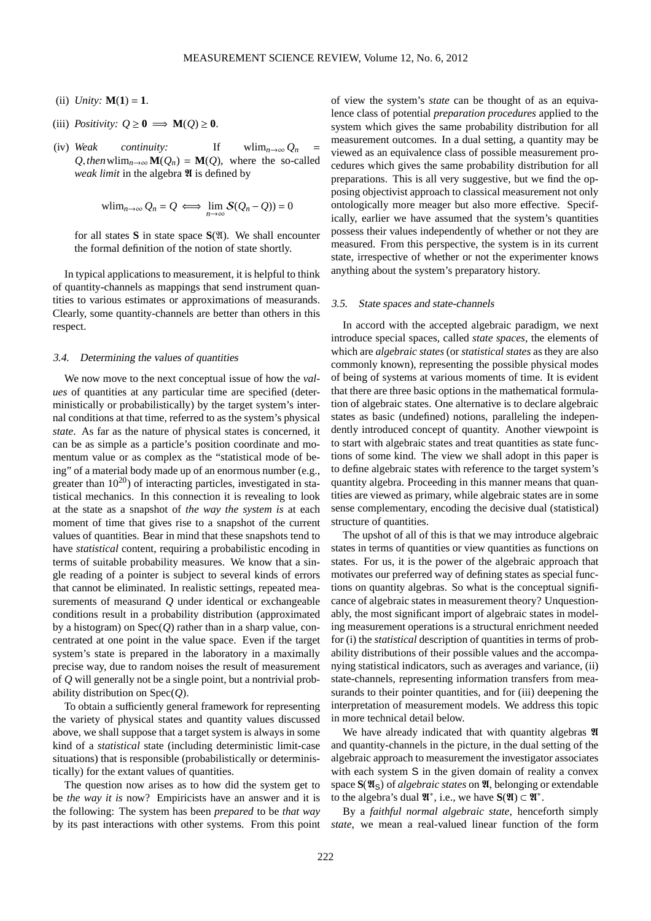- (ii) *Unity*:  $M(1) = 1$ .
- (iii) *Positivity:*  $Q \ge 0 \implies M(Q) \ge 0$ .
- (iv) *Weak* continuity: If wlim<sub>*n*→∞</sub>  $Q_n$  =  $Q$ *, then* wlim<sub>*n*→∞</sub>  $\mathbf{M}(Q_n) = \mathbf{M}(Q)$ , where the so-called *weak limit* in the algebra  $\mathfrak A$  is defined by

$$
\text{wlim}_{n\to\infty} Q_n = Q \iff \lim_{n\to\infty} \mathcal{S}(Q_n - Q) = 0
$$

for all states  $S$  in state space  $S(\mathfrak{A})$ . We shall encounter the formal definition of the notion of state shortly.

In typical applications to measurement, it is helpful to think of quantity-channels as mappings that send instrument quantities to various estimates or approximations of measurands. Clearly, some quantity-channels are better than others in this respect.

## 3.4. Determining the values of quantities

We now move to the next conceptual issue of how the *values* of quantities at any particular time are specified (deterministically or probabilistically) by the target system's internal conditions at that time, referred to as the system's physical *state*. As far as the nature of physical states is concerned, it can be as simple as a particle's position coordinate and momentum value or as complex as the "statistical mode of being" of a material body made up of an enormous number (e.g., greater than  $10^{20}$ ) of interacting particles, investigated in statistical mechanics. In this connection it is revealing to look at the state as a snapshot of *the way the system is* at each moment of time that gives rise to a snapshot of the current values of quantities. Bear in mind that these snapshots tend to have *statistical* content, requiring a probabilistic encoding in terms of suitable probability measures. We know that a single reading of a pointer is subject to several kinds of errors that cannot be eliminated. In realistic settings, repeated measurements of measurand *Q* under identical or exchangeable conditions result in a probability distribution (approximated by a histogram) on Spec(*Q*) rather than in a sharp value, concentrated at one point in the value space. Even if the target system's state is prepared in the laboratory in a maximally precise way, due to random noises the result of measurement of *Q* will generally not be a single point, but a nontrivial probability distribution on Spec(*Q*).

To obtain a sufficiently general framework for representing the variety of physical states and quantity values discussed above, we shall suppose that a target system is always in some kind of a *statistical* state (including deterministic limit-case situations) that is responsible (probabilistically or deterministically) for the extant values of quantities.

The question now arises as to how did the system get to be *the way it is* now? Empiricists have an answer and it is the following: The system has been *prepared* to be *that way* by its past interactions with other systems. From this point

of view the system's *state* can be thought of as an equivalence class of potential *preparation procedures* applied to the system which gives the same probability distribution for all measurement outcomes. In a dual setting, a quantity may be viewed as an equivalence class of possible measurement procedures which gives the same probability distribution for all preparations. This is all very suggestive, but we find the opposing objectivist approach to classical measurement not only ontologically more meager but also more effective. Specifically, earlier we have assumed that the system's quantities possess their values independently of whether or not they are measured. From this perspective, the system is in its current state, irrespective of whether or not the experimenter knows anything about the system's preparatory history.

### 3.5. State spaces and state-channels

In accord with the accepted algebraic paradigm, we next introduce special spaces, called *state spaces*, the elements of which are *algebraic states* (or *statistical states* as they are also commonly known), representing the possible physical modes of being of systems at various moments of time. It is evident that there are three basic options in the mathematical formulation of algebraic states. One alternative is to declare algebraic states as basic (undefined) notions, paralleling the independently introduced concept of quantity. Another viewpoint is to start with algebraic states and treat quantities as state functions of some kind. The view we shall adopt in this paper is to define algebraic states with reference to the target system's quantity algebra. Proceeding in this manner means that quantities are viewed as primary, while algebraic states are in some sense complementary, encoding the decisive dual (statistical) structure of quantities.

The upshot of all of this is that we may introduce algebraic states in terms of quantities or view quantities as functions on states. For us, it is the power of the algebraic approach that motivates our preferred way of defining states as special functions on quantity algebras. So what is the conceptual significance of algebraic states in measurement theory? Unquestionably, the most significant import of algebraic states in modeling measurement operations is a structural enrichment needed for (i) the *statistical* description of quantities in terms of probability distributions of their possible values and the accompanying statistical indicators, such as averages and variance, (ii) state-channels, representing information transfers from measurands to their pointer quantities, and for (iii) deepening the interpretation of measurement models. We address this topic in more technical detail below.

We have already indicated that with quantity algebras  $\mathfrak A$ and quantity-channels in the picture, in the dual setting of the algebraic approach to measurement the investigator associates with each system S in the given domain of reality a convex space  $S(\mathfrak{A}_S)$  of *algebraic states* on  $\mathfrak{A}$ , belonging or extendable to the algebra's dual  $\mathfrak{A}^*$ , i.e., we have  $\mathbf{S}(\mathfrak{A}) \subset \mathfrak{A}^*$ .

By a *faithful normal algebraic state*, henceforth simply *state*, we mean a real-valued linear function of the form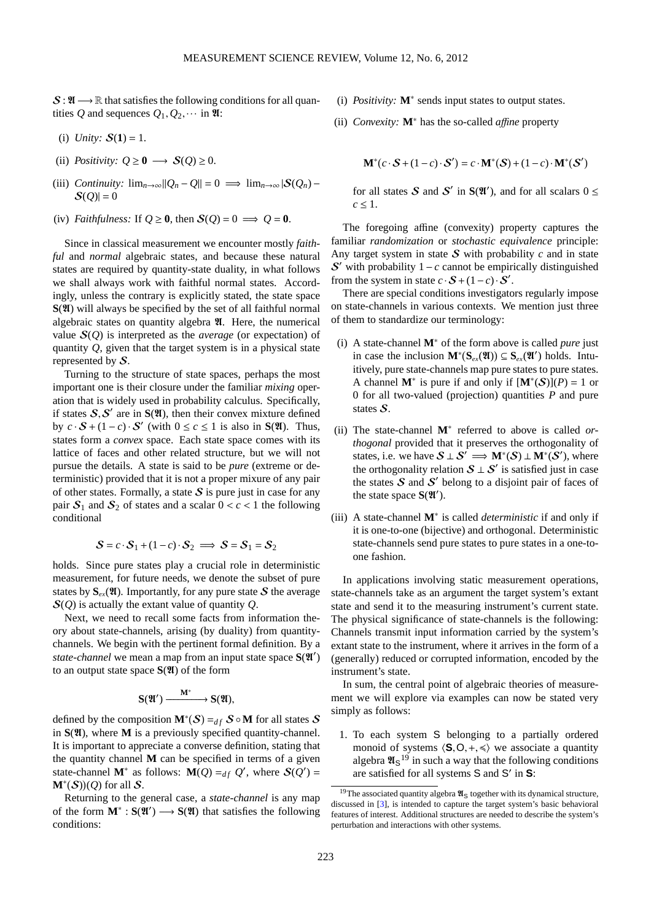$S: \mathfrak{A} \longrightarrow \mathbb{R}$  that satisfies the following conditions for all quantities *Q* and sequences  $Q_1, Q_2, \cdots$  in  $\mathfrak{A}$ :

- (i) *Unity:*  $S(1) = 1$ .
- (ii) *Positivity:*  $Q \ge 0 \longrightarrow S(Q) \ge 0$ .
- (iii) *Continuity:*  $\lim_{n\to\infty} |Q_n Q| = 0 \implies \lim_{n\to\infty} |S(Q_n) S(Q) = 0$
- (iv) *Faithfulness:* If  $Q \ge 0$ , then  $S(Q) = 0 \implies Q = 0$ .

Since in classical measurement we encounter mostly *faithful* and *normal* algebraic states, and because these natural states are required by quantity-state duality, in what follows we shall always work with faithful normal states. Accordingly, unless the contrary is explicitly stated, the state space **S**( $\mathfrak{A}$ ) will always be specified by the set of all faithful normal algebraic states on quantity algebra  $\mathfrak A$ . Here, the numerical value S(*Q*) is interpreted as the *average* (or expectation) of quantity *Q*, given that the target system is in a physical state represented by S.

Turning to the structure of state spaces, perhaps the most important one is their closure under the familiar *mixing* operation that is widely used in probability calculus. Specifically, if states  $S, S'$  are in  $S(\mathfrak{A})$ , then their convex mixture defined by  $c \cdot S + (1 - c) \cdot S'$  (with  $0 \le c \le 1$  is also in **S(4)**. Thus, states form a *convex* space. Each state space comes with its lattice of faces and other related structure, but we will not pursue the details. A state is said to be *pure* (extreme or deterministic) provided that it is not a proper mixure of any pair of other states. Formally, a state  $S$  is pure just in case for any pair  $S_1$  and  $S_2$  of states and a scalar  $0 < c < 1$  the following conditional

$$
S = c \cdot S_1 + (1 - c) \cdot S_2 \implies S = S_1 = S_2
$$

holds. Since pure states play a crucial role in deterministic measurement, for future needs, we denote the subset of pure states by  $S_{ex}(A)$ . Importantly, for any pure state S the average S(*Q*) is actually the extant value of quantity *Q*.

Next, we need to recall some facts from information theory about state-channels, arising (by duality) from quantitychannels. We begin with the pertinent formal definition. By a *state-channel* we mean a map from an input state space **S**(A ′ ) to an output state space  $S(\mathfrak{A})$  of the form

$$
S(\mathfrak{A}') \xrightarrow{M^*} S(\mathfrak{A}),
$$

defined by the composition  $\mathbf{M}^*(S) =_{df} S \circ \mathbf{M}$  for all states S in  $S(\mathfrak{A})$ , where **M** is a previously specified quantity-channel. It is important to appreciate a converse definition, stating that the quantity channel **M** can be specified in terms of a given state-channel  $\mathbf{M}^*$  as follows:  $\mathbf{M}(Q) =_{df} Q'$ , where  $\mathcal{S}(Q') =$  $M^*(S)(Q)$  for all S.

Returning to the general case, a *state-channel* is any map of the form  $M^*$ :  $S(\mathfrak{A}') \longrightarrow S(\mathfrak{A})$  that satisfies the following conditions:

- (i) *Positivity:* **M**∗ sends input states to output states.
- (ii) *Convexity:* **M**∗ has the so-called *a*ffi*ne* property

$$
\mathbf{M}^*(c \cdot \mathcal{S} + (1-c) \cdot \mathcal{S}') = c \cdot \mathbf{M}^*(\mathcal{S}) + (1-c) \cdot \mathbf{M}^*(\mathcal{S}')
$$

for all states S and S' in  $S(\mathfrak{A}')$ , and for all scalars  $0 \leq$  $c \leq 1$ .

The foregoing affine (convexity) property captures the familiar *randomization* or *stochastic equivalence* principle: Any target system in state S with probability *c* and in state S' with probability  $1 - c$  cannot be empirically distinguished from the system in state  $c \cdot S + (1 - c) \cdot S'$ .

There are special conditions investigators regularly impose on state-channels in various contexts. We mention just three of them to standardize our terminology:

- (i) A state-channel **M**∗ of the form above is called *pure* just in case the inclusion  $\mathbf{M}^*(\mathbf{S}_{ex}(\mathfrak{A})) \subseteq \mathbf{S}_{ex}(\mathfrak{A}')$  holds. Intuitively, pure state-channels map pure states to pure states. A channel  $M^*$  is pure if and only if  $[M^*(S)](P) = 1$  or 0 for all two-valued (projection) quantities *P* and pure states S.
- (ii) The state-channel **M**∗ referred to above is called *orthogonal* provided that it preserves the orthogonality of states, i.e. we have  $S \perp S' \implies M^*(S) \perp M^*(S')$ , where the orthogonality relation  $S \perp S'$  is satisfied just in case the states  $S$  and  $S'$  belong to a disjoint pair of faces of the state space  $S(\mathfrak{A}')$ .
- (iii) A state-channel **M**∗ is called *deterministic* if and only if it is one-to-one (bijective) and orthogonal. Deterministic state-channels send pure states to pure states in a one-toone fashion.

In applications involving static measurement operations, state-channels take as an argument the target system's extant state and send it to the measuring instrument's current state. The physical significance of state-channels is the following: Channels transmit input information carried by the system's extant state to the instrument, where it arrives in the form of a (generally) reduced or corrupted information, encoded by the instrument's state.

In sum, the central point of algebraic theories of measurement we will explore via examples can now be stated very simply as follows:

1. To each system S belonging to a partially ordered monoid of systems  $\langle$ **S**, O, +,  $\leq$ ) we associate a quantity algebra  $\mathfrak{A}_S^{19}$  $\mathfrak{A}_S^{19}$  $\mathfrak{A}_S^{19}$  in such a way that the following conditions are satisfied for all systems S and S ′ in **S**:

<span id="page-10-0"></span> $^{19}$  The associated quantity algebra  $\mathfrak{A}_\mathbf{S}$  together with its dynamical structure, discussed in [\[3\]](#page-20-7), is intended to capture the target system's basic behavioral features of interest. Additional structures are needed to describe the system's perturbation and interactions with other systems.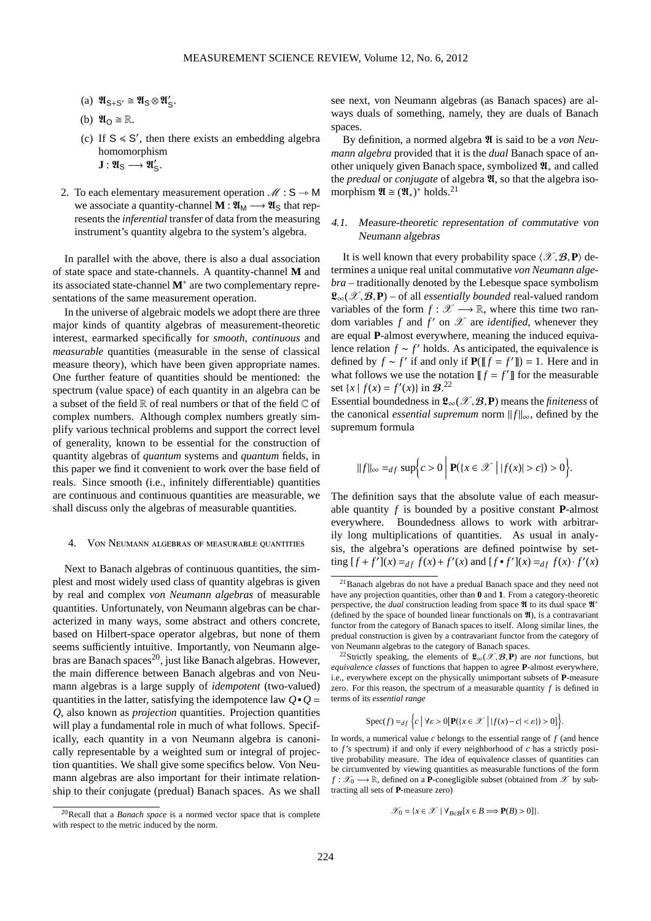- (a)  $\mathfrak{A}_{S+S'} \cong \mathfrak{A}_S \otimes \mathfrak{A}_S'.$
- (b)  $\mathfrak{A}_{\Omega} \cong \mathbb{R}$ .
- (c) If  $S \le S'$ , then there exists an embedding algebra homomorphism  $\mathbf{J}: \mathfrak{A}_{\mathbb{S}} \longrightarrow \mathfrak{A}_{\mathbb{S}}'.$
- 2. To each elementary measurement operation  $\mathcal{M} : S \rightarrow M$ we associate a quantity-channel  $M : \mathfrak{A}_M \longrightarrow \mathfrak{A}_S$  that represents the *inferential* transfer of data from the measuring instrument's quantity algebra to the system's algebra.

In parallel with the above, there is also a dual association of state space and state-channels. A quantity-channel **M** and its associated state-channel **M**∗ are two complementary representations of the same measurement operation.

In the universe of algebraic models we adopt there are three major kinds of quantity algebras of measurement-theoretic interest, earmarked specifically for *smooth*, *continuous* and *measurable* quantities (measurable in the sense of classical measure theory), which have been given appropriate names. One further feature of quantities should be mentioned: the spectrum (value space) of each quantity in an algebra can be a subset of the field  $\mathbb R$  of real numbers or that of the field  $\mathbb C$  of complex numbers. Although complex numbers greatly simplify various technical problems and support the correct level of generality, known to be essential for the construction of quantity algebras of *quantum* systems and *quantum* fields, in this paper we find it convenient to work over the base field of reals. Since smooth (i.e., infinitely differentiable) quantities are continuous and continuous quantities are measurable, we shall discuss only the algebras of measurable quantities.

## 4. Von Neumann algebras of measurable quantities

Next to Banach algebras of continuous quantities, the simplest and most widely used class of quantity algebras is given by real and complex *von Neumann algebras* of measurable quantities. Unfortunately, von Neumann algebras can be characterized in many ways, some abstract and others concrete, based on Hilbert-space operator algebras, but none of them seems sufficiently intuitive. Importantly, von Neumann alge-bras are Banach spaces<sup>[20](#page-11-0)</sup>, just like Banach algebras. However, the main difference between Banach algebras and von Neumann algebras is a large supply of *idempotent* (two-valued) quantities in the latter, satisfying the idempotence law  $Q \cdot Q =$ *Q*, also known as *projection* quantities. Projection quantities will play a fundamental role in much of what follows. Specifically, each quantity in a von Neumann algebra is canonically representable by a weighted sum or integral of projection quantities. We shall give some specifics below. Von Neumann algebras are also important for their intimate relationship to their conjugate (predual) Banach spaces. As we shall see next, von Neumann algebras (as Banach spaces) are always duals of something, namely, they are duals of Banach spaces.

By definition, a normed algebra **2** is said to be a *von Neumann algebra* provided that it is the *dual* Banach space of another uniquely given Banach space, symbolized  $\mathfrak{A}_*$  and called the *predual* or *conjugate* of algebra  $\mathfrak{A}$ , so that the algebra isomorphism  $\mathfrak{A} \cong (\mathfrak{A}_*)^*$  holds.<sup>[21](#page-11-1)</sup>

## 4.1. Measure-theoretic representation of commutative von Neumann algebras

It is well known that every probability space  $\langle \mathcal{X}, \mathcal{B}, \mathbf{P} \rangle$  determines a unique real unital commutative *von Neumann algebra* – traditionally denoted by the Lebesque space symbolism  $\mathbf{\Omega}_{\infty}(\mathcal{X}, \mathcal{B}, \mathbf{P})$  – of all *essentially bounded* real-valued random variables of the form  $f: \mathcal{X} \longrightarrow \mathbb{R}$ , where this time two random variables  $f$  and  $f'$  on  $\mathscr X$  are *identified*, whenever they are equal **P**-almost everywhere, meaning the induced equivalence relation  $f \sim f'$  holds. As anticipated, the equivalence is defined by  $f \sim f'$  if and only if  $\mathbf{P}(\mathbf{f} = f' \mathbf{I}) = 1$ . Here and in what follows we use the notation  $\llbracket f = f' \rrbracket$  for the measurable set  $\{x \mid f(x) = f'(x)\}$  in  $\mathcal{B}^{22}$  $\mathcal{B}^{22}$  $\mathcal{B}^{22}$ .

Essential boundedness in  $\mathfrak{L}_{\infty}(\mathscr{X}, \mathcal{B}, \mathbf{P})$  means the *finiteness* of the canonical *essential supremum* norm  $||f||_{\infty}$ , defined by the supremum formula

$$
||f||_{\infty} =_{df} \sup \Biggl\{ c > 0 \Biggm| \mathbf{P}(\lbrace x \in \mathcal{X} \biggm| |f(x)| > c \rbrace) > 0 \Biggr\}.
$$

The definition says that the absolute value of each measurable quantity *f* is bounded by a positive constant **P**-almost everywhere. Boundedness allows to work with arbitrarily long multiplications of quantities. As usual in analysis, the algebra's operations are defined pointwise by setting  $[f + f'](x) =_{df} f(x) + f'(x)$  and  $[f \cdot f'](x) =_{df} f(x) \cdot f'(x)$ 

$$
\operatorname{Spec}(f) =_{df} \left\{ c \mid \forall \varepsilon > 0 \big[ \mathbf{P}(\{ x \in \mathcal{X} \mid |f(x) - c| < \varepsilon \}) > 0 \big] \right\}
$$

.

$$
\mathscr{X}_0 = \{ x \in \mathscr{X} \mid \forall_{B \in \mathscr{B}} [x \in B \Longrightarrow \mathbf{P}(B) > 0] \}.
$$

<span id="page-11-1"></span><sup>21</sup>Banach algebras do not have a predual Banach space and they need not have any projection quantities, other than **0** and **1**. From a category-theoretic perspective, the *dual* construction leading from space **21** to its dual space  $\mathfrak{A}^*$ (defined by the space of bounded linear functionals on  $\mathfrak{A}$ ), is a contravariant functor from the category of Banach spaces to itself. Along similar lines, the predual construction is given by a contravariant functor from the category of von Neumann algebras to the category of Banach spaces.

<span id="page-11-2"></span><sup>&</sup>lt;sup>22</sup>Strictly speaking, the elements of  $\mathfrak{L}_{\infty}(\mathscr{X}, \mathcal{B}, \mathbf{P})$  are *not* functions, but *equivalence classes* of functions that happen to agree **P**-almost everywhere, i.e., everywhere except on the physically unimportant subsets of **P**-measure zero. For this reason, the spectrum of a measurable quantity *f* is defined in terms of its *essential range*

In words, a numerical value *c* belongs to the essential range of *f* (and hence to *f*'s spectrum) if and only if every neighborhood of *c* has a strictly positive probability measure. The idea of equivalence classes of quantities can be circumvented by viewing quantities as measurable functions of the form *f* :  $\mathscr{X}_0$  → R, defined on a **P**-conegligible subset (obtained from  $\mathscr{X}$  by subtracting all sets of **P**-measure zero)

<span id="page-11-0"></span><sup>20</sup>Recall that a *Banach space* is a normed vector space that is complete with respect to the metric induced by the norm.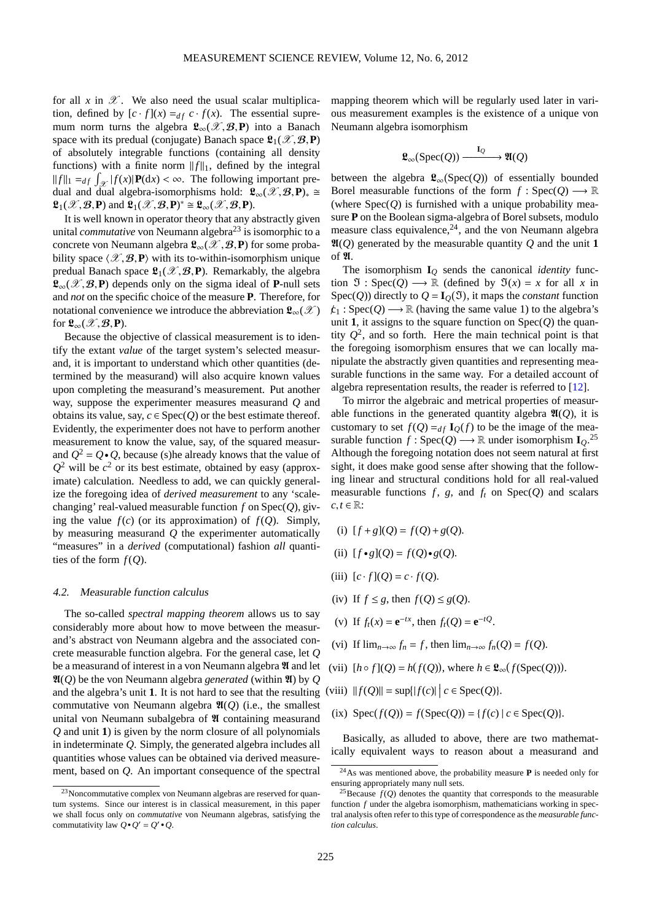for all  $x$  in  $\mathscr X$ . We also need the usual scalar multiplication, defined by  $[c \cdot f](x) =_{df} c \cdot f(x)$ . The essential supremum norm turns the algebra  $\mathbf{\Omega}_{\infty}(\mathscr{X}, \mathcal{B}, \mathbf{P})$  into a Banach space with its predual (conjugate) Banach space  $\mathfrak{L}_1(\mathscr{X},\mathcal{B},\mathbf{P})$ of absolutely integrable functions (containing all density functions) with a finite norm  $||f||_1$ , defined by the integral  $||f||_1 =_{df} \int_{\mathcal{X}} |f(x)| \mathbf{P}(\mathrm{d}x) < \infty$ . The following important predual and dual algebra-isomorphisms hold:  $\mathbf{\mathfrak{L}}_{\infty}(\mathscr{X},\mathcal{B},\mathbf{P})_*$  ≅  $\mathbf{L}_1(\mathcal{X}, \mathcal{B}, \mathbf{P})$  and  $\mathbf{L}_1(\mathcal{X}, \mathcal{B}, \mathbf{P})^* \cong \mathbf{L}_\infty(\mathcal{X}, \mathcal{B}, \mathbf{P}).$ 

It is well known in operator theory that any abstractly given unital *commutative* von Neumann algebra<sup>[23](#page-12-0)</sup> is isomorphic to a concrete von Neumann algebra  $\mathfrak{L}_{\infty}(\mathscr{X}, \mathcal{B}, \mathbf{P})$  for some probability space  $\langle \mathcal{X}, \mathcal{B}, \mathbf{P} \rangle$  with its to-within-isomorphism unique predual Banach space  $\mathfrak{L}_1(\mathscr{X}, \mathcal{B}, \mathbf{P})$ . Remarkably, the algebra <sup>L</sup>∞(X,B,**P**) depends only on the sigma ideal of **<sup>P</sup>**-null sets and *not* on the specific choice of the measure **P**. Therefore, for notational convenience we introduce the abbreviation  $\mathfrak{L}_{\infty}(\mathscr{X})$ for  $\mathbf{L}_{\infty}(\mathscr{X},\mathcal{B},\mathbf{P})$ .

Because the objective of classical measurement is to identify the extant *value* of the target system's selected measurand, it is important to understand which other quantities (determined by the measurand) will also acquire known values upon completing the measurand's measurement. Put another way, suppose the experimenter measures measurand *Q* and obtains its value, say,  $c \in \text{Spec}(Q)$  or the best estimate thereof. Evidently, the experimenter does not have to perform another measurement to know the value, say, of the squared measurand  $Q^2 = Q \cdot Q$ , because (s) he already knows that the value of  $Q^2$  will be  $c^2$  or its best estimate, obtained by easy (approximate) calculation. Needless to add, we can quickly generalize the foregoing idea of *derived measurement* to any 'scalechanging' real-valued measurable function *f* on Spec(*Q*), giving the value  $f(c)$  (or its approximation) of  $f(Q)$ . Simply, by measuring measurand *Q* the experimenter automatically "measures" in a *derived* (computational) fashion *all* quantities of the form  $f(Q)$ .

## 4.2. Measurable function calculus

The so-called *spectral mapping theorem* allows us to say considerably more about how to move between the measurand's abstract von Neumann algebra and the associated concrete measurable function algebra. For the general case, let *Q* be a measurand of interest in a von Neumann algebra  $\mathfrak A$  and let  $\mathfrak{A}(Q)$  be the von Neumann algebra *generated* (within  $\mathfrak{A}$ ) by  $Q$ and the algebra's unit **1**. It is not hard to see that the resulting commutative von Neumann algebra  $\mathfrak{A}(Q)$  (i.e., the smallest unital von Neumann subalgebra of  $\mathfrak A$  containing measurand *Q* and unit **1**) is given by the norm closure of all polynomials in indeterminate *Q*. Simply, the generated algebra includes all quantities whose values can be obtained via derived measurement, based on *Q*. An important consequence of the spectral

mapping theorem which will be regularly used later in various measurement examples is the existence of a unique von Neumann algebra isomorphism

$$
\mathfrak{L}_{\infty}(\mathrm{Spec}(Q)) \xrightarrow{\mathrm{I}_Q} \mathfrak{A}(Q)
$$

between the algebra  $\mathbf{L}^\infty(Spec(Q))$  of essentially bounded Borel measurable functions of the form  $f : \text{Spec}(Q) \longrightarrow \mathbb{R}$ (where  $Spec(Q)$ ) is furnished with a unique probability measure **P** on the Boolean sigma-algebra of Borel subsets, modulo measure class equivalence,  $24$ , and the von Neumann algebra  $\mathfrak{A}(Q)$  generated by the measurable quantity Q and the unit **1** of  $\mathfrak A$ .

The isomorphism  $I<sub>O</sub>$  sends the canonical *identity* function  $\mathfrak{I}: \text{Spec}(Q) \longrightarrow \mathbb{R}$  (defined by  $\mathfrak{I}(x) = x$  for all x in Spec(*Q*)) directly to  $Q = I_Q(\mathfrak{I})$ , it maps the *constant* function  $\mathcal{L}_1$ : Spec(*Q*)  $\longrightarrow \mathbb{R}$  (having the same value 1) to the algebra's unit **1**, it assigns to the square function on  $Spec(Q)$  the quantity  $Q^2$ , and so forth. Here the main technical point is that the foregoing isomorphism ensures that we can locally manipulate the abstractly given quantities and representing measurable functions in the same way. For a detailed account of algebra representation results, the reader is referred to [\[12\]](#page-20-8).

To mirror the algebraic and metrical properties of measurable functions in the generated quantity algebra  $\mathfrak{A}(O)$ , it is customary to set  $f(Q) =_{df} \mathbf{I}_Q(f)$  to be the image of the measurable function *f* : Spec( $Q$ )  $\longrightarrow \mathbb{R}$  under isomorphism  $I_Q$ .<sup>[25](#page-12-2)</sup> Although the foregoing notation does not seem natural at first sight, it does make good sense after showing that the following linear and structural conditions hold for all real-valued measurable functions  $f$ ,  $g$ , and  $f$ <sub>t</sub> on Spec(*Q*) and scalars  $c, t \in \mathbb{R}$ :

- (i)  $[f+g](Q) = f(Q) + g(Q)$ .
- (ii)  $[f \cdot g](Q) = f(Q) \cdot g(Q)$ .
- (iii)  $[c \cdot f](Q) = c \cdot f(Q)$ .
- (iv) If  $f \leq g$ , then  $f(Q) \leq g(Q)$ .
- (v) If  $f_t(x) = e^{-tx}$ , then  $f_t(Q) = e^{-tQ}$ .
- (vi) If  $\lim_{n\to\infty} f_n = f$ , then  $\lim_{n\to\infty} f_n(Q) = f(Q)$ .
- (vii)  $[h \circ f](Q) = h(f(Q))$ , where  $h \in \mathfrak{L}_{\infty}(f(\text{Spec}(Q)))$ .
- (viii)  $||f(Q)|| = \sup{ |f(c)| | c \in \text{Spec}(Q) }$ .
- (ix)  $Spec(f(Q)) = f(Spec(Q)) = {f(c) | c \in Spec(Q)}$ .

Basically, as alluded to above, there are two mathematically equivalent ways to reason about a measurand and

<span id="page-12-0"></span><sup>23</sup>Noncommutative complex von Neumann algebras are reserved for quantum systems. Since our interest is in classical measurement, in this paper we shall focus only on *commutative* von Neumann algebras, satisfying the commutativity law  $Q \cdot Q' = Q' \cdot Q$ .

<sup>24</sup>As was mentioned above, the probability measure **P** is needed only for ensuring appropriately many null sets.

<span id="page-12-2"></span><span id="page-12-1"></span><sup>&</sup>lt;sup>25</sup>Because  $f(Q)$  denotes the quantity that corresponds to the measurable function *f* under the algebra isomorphism, mathematicians working in spectral analysis often refer to this type of correspondence as the *measurable function calculus*.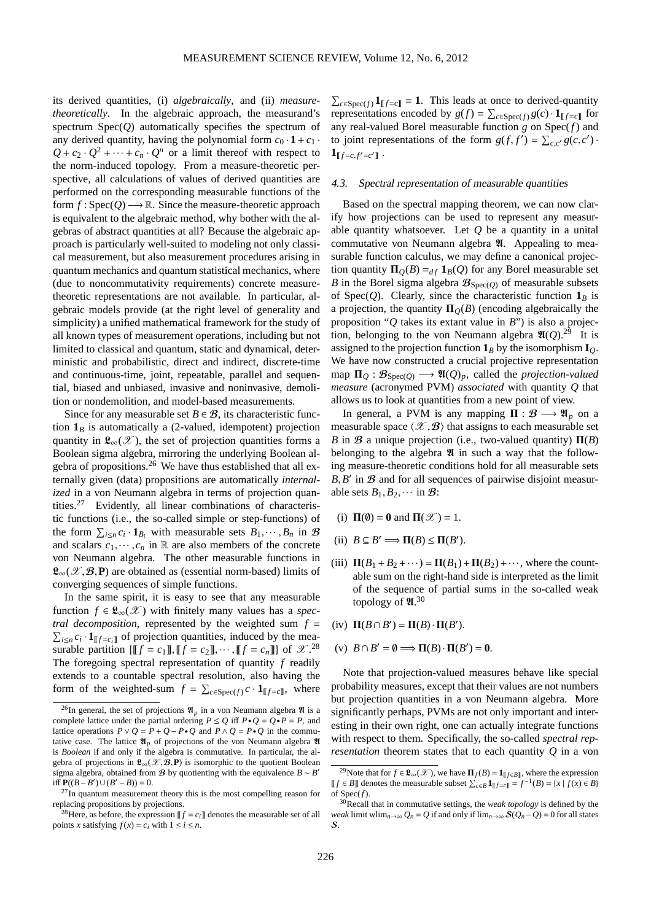its derived quantities, (i) *algebraically*, and (ii) *measuretheoretically*. In the algebraic approach, the measurand's spectrum  $Spec(Q)$  automatically specifies the spectrum of any derived quantity, having the polynomial form  $c_0 \cdot \mathbf{1} + c_1 \cdot$  $Q + c_2 \cdot Q^2 + \cdots + c_n \cdot Q^n$  or a limit thereof with respect to the norm-induced topology. From a measure-theoretic perspective, all calculations of values of derived quantities are performed on the corresponding measurable functions of the form  $f : \text{Spec}(Q) \longrightarrow \mathbb{R}$ . Since the measure-theoretic approach is equivalent to the algebraic method, why bother with the algebras of abstract quantities at all? Because the algebraic approach is particularly well-suited to modeling not only classical measurement, but also measurement procedures arising in quantum mechanics and quantum statistical mechanics, where (due to noncommutativity requirements) concrete measuretheoretic representations are not available. In particular, algebraic models provide (at the right level of generality and simplicity) a unified mathematical framework for the study of all known types of measurement operations, including but not limited to classical and quantum, static and dynamical, deterministic and probabilistic, direct and indirect, discrete-time and continuous-time, joint, repeatable, parallel and sequential, biased and unbiased, invasive and noninvasive, demolition or nondemolition, and model-based measurements.

Since for any measurable set  $B \in \mathcal{B}$ , its characteristic function  $\mathbf{1}_B$  is automatically a (2-valued, idempotent) projection quantity in  $\mathbf{\Omega}_{\infty}(\mathscr{X})$ , the set of projection quantities forms a Boolean sigma algebra, mirroring the underlying Boolean al-gebra of propositions.<sup>[26](#page-13-0)</sup> We have thus established that all externally given (data) propositions are automatically *internalized* in a von Neumann algebra in terms of projection quantities.[27](#page-13-1) Evidently, all linear combinations of characteristic functions (i.e., the so-called simple or step-functions) of the form  $\sum_{i \leq n} c_i \cdot \mathbf{1}_{B_i}$  with measurable sets  $B_1, \dots, B_n$  in  $\mathcal{B}$ and scalars  $c_1, \dots, c_n$  in R are also members of the concrete von Neumann algebra. The other measurable functions in <sup>L</sup>∞(X,B,**P**) are obtained as (essential norm-based) limits of converging sequences of simple functions.

In the same spirit, it is easy to see that any measurable function  $f \in \mathfrak{L}_{\infty}(\mathscr{X})$  with finitely many values has a *spectral decomposition*, represented by the weighted sum  $f =$  $\sum_{i \leq n} c_i \cdot \mathbf{1}_{\llbracket f = c_i \rrbracket}$  of projection quantities, induced by the measurable partition  $\{\llbracket f = c_1 \rrbracket, \llbracket f = c_2 \rrbracket, \cdots, \llbracket f = c_n \rrbracket\}$  of  $\mathcal{X}^2$ . The foregoing spectral representation of quantity *f* readily extends to a countable spectral resolution, also having the form of the weighted-sum  $f = \sum_{c \in \text{Spec}(f)} c \cdot \mathbf{1}_{\llbracket f = c \rrbracket}$ , where

 $\sum_{c \in \text{Spec}(f)} \mathbf{1}_{\llbracket f = c \rrbracket} = \mathbf{1}$ . This leads at once to derived-quantity representations encoded by  $g(f) = \sum_{c \in \text{Spec}(f)} g(c) \cdot \mathbf{1}_{\llbracket f = c \rrbracket}$  for any real-valued Borel measurable function *g* on Spec(*f*) and to joint representations of the form  $g(f, f') = \sum_{c,c'} g(c, c')$ .  $\mathbf{1}_{\llbracket f=c, f'=c'\rrbracket}$  .

## 4.3. Spectral representation of measurable quantities

Based on the spectral mapping theorem, we can now clarify how projections can be used to represent any measurable quantity whatsoever. Let  $Q$  be a quantity in a unital commutative von Neumann algebra  $\mathfrak A$ . Appealing to measurable function calculus, we may define a canonical projection quantity  $\Pi_O(B) =_{df} \mathbf{1}_B(Q)$  for any Borel measurable set *B* in the Borel sigma algebra  $\mathcal{B}_{\text{Spec}(O)}$  of measurable subsets of Spec(*Q*). Clearly, since the characteristic function  $\mathbf{1}_B$  is a projection, the quantity  $\Pi_{\theta}(B)$  (encoding algebraically the proposition "*Q* takes its extant value in *B*") is also a projection, belonging to the von Neumann algebra  $\mathfrak{A}(Q)$ .<sup>[29](#page-13-3)</sup> It is assigned to the projection function  $\mathbf{1}_B$  by the isomorphism  $\mathbf{I}_O$ . We have now constructed a crucial projective representation map  $\Pi_Q : \mathcal{B}_{Spec(Q)} \longrightarrow \mathfrak{A}(Q)_p$ , called the *projection-valued measure* (acronymed PVM) *associated* with quantity *Q* that allows us to look at quantities from a new point of view.

In general, a PVM is any mapping  $\Pi : \mathcal{B} \longrightarrow \mathfrak{A}_n$  on a measurable space  $\langle \mathcal{X}, \mathcal{B} \rangle$  that assigns to each measurable set *B* in *B* a unique projection (i.e., two-valued quantity)  $\Pi(B)$ belonging to the algebra  $\mathfrak A$  in such a way that the following measure-theoretic conditions hold for all measurable sets  $B, B'$  in  $B$  and for all sequences of pairwise disjoint measurable sets  $B_1, B_2, \cdots$  in  $\mathcal{B}$ :

- (i)  $\Pi(\emptyset) = 0$  and  $\Pi(\mathcal{X}) = 1$ .
- (ii)  $B \subseteq B' \Longrightarrow \Pi(B) \le \Pi(B')$ .
- (iii)  $\Pi(B_1 + B_2 + \cdots) = \Pi(B_1) + \Pi(B_2) + \cdots$ , where the countable sum on the right-hand side is interpreted as the limit of the sequence of partial sums in the so-called weak topology of  $\mathfrak{A}^{.30}$  $\mathfrak{A}^{.30}$  $\mathfrak{A}^{.30}$
- (iv)  $\Pi(B \cap B') = \Pi(B) \cdot \Pi(B')$ .
- (v)  $B \cap B' = \emptyset \Longrightarrow \Pi(B) \cdot \Pi(B') = 0.$

Note that projection-valued measures behave like special probability measures, except that their values are not numbers but projection quantities in a von Neumann algebra. More significantly perhaps, PVMs are not only important and interesting in their own right, one can actually integrate functions with respect to them. Specifically, the so-called *spectral representation* theorem states that to each quantity *Q* in a von

<span id="page-13-0"></span><sup>&</sup>lt;sup>26</sup>In general, the set of projections  $\mathfrak{A}_p$  in a von Neumann algebra  $\mathfrak A$  is a complete lattice under the partial ordering  $P \le Q$  iff  $P \cdot Q = Q \cdot P = P$ , and lattice operations  $P \lor Q = P + Q - P \cdot Q$  and  $P \land Q = P \cdot Q$  in the commutative case. The lattice  $\mathfrak{A}_p$  of projections of the von Neumann algebra  $\mathfrak A$ is *Boolean* if and only if the algebra is commutative. In particular, the algebra of projections in  $\mathfrak{L}_{\infty}(\mathscr{X}, \mathcal{B}, \mathbf{P})$  is isomorphic to the quotient Boolean sigma algebra, obtained from  $\mathcal{B}$  by quotienting with the equivalence  $B \sim B'$ iff  $P((B - B') ∪ (B' - B)) = 0.$ 

<span id="page-13-1"></span> $27$ In quantum measurement theory this is the most compelling reason for replacing propositions by projections.

<span id="page-13-2"></span><sup>&</sup>lt;sup>28</sup>Here, as before, the expression  $\llbracket f = c_i \rrbracket$  denotes the measurable set of all points *x* satisfying  $f(x) = c_i$  with  $1 \le i \le n$ .

<span id="page-13-3"></span><sup>&</sup>lt;sup>29</sup>Note that for  $f \in \mathfrak{L}_{\infty}(\mathcal{X})$ , we have  $\Pi_f(B) = \mathbf{1}_{\llbracket f \in B \rrbracket}$ , where the expression  $[$ *f* ∈ *B* $]$  denotes the measurable subset  $\sum_{c \in B} \mathbf{1}_{[f=c]} = f^{-1}(B) = \{x \mid f(x) \in B\}$ of Spec(*f*).

<span id="page-13-4"></span><sup>30</sup>Recall that in commutative settings, the *weak topology* is defined by the *weak* limit wlim<sub>*n*→∞</sub>  $Q_n = Q$  if and only if lim<sub>*n→∞*</sub>  $S(Q_n - Q) = 0$  for all states S.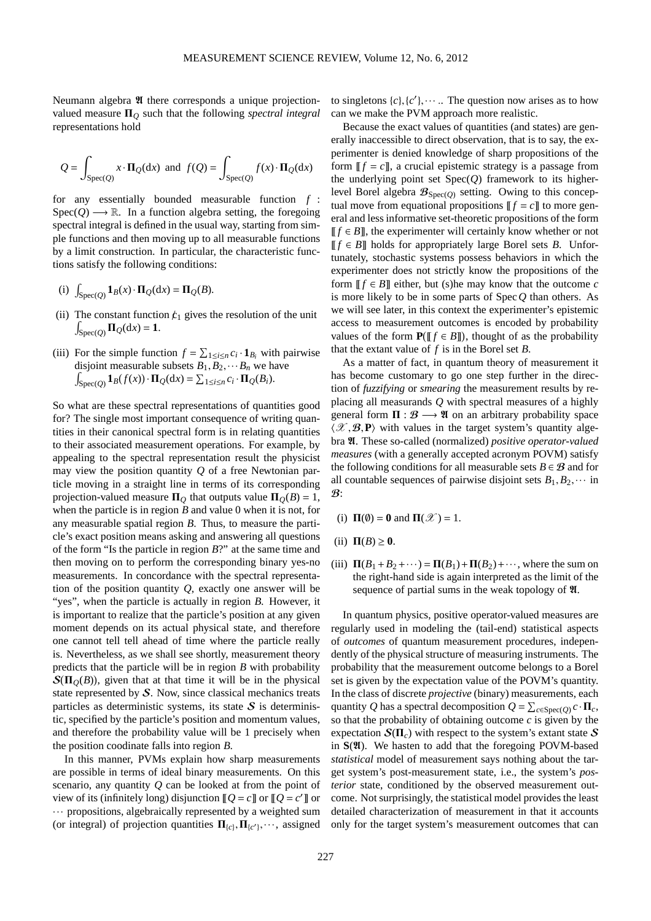Neumann algebra  $\mathfrak A$  there corresponds a unique projectionvalued measure Π*<sup>Q</sup>* such that the following *spectral integral* representations hold

$$
Q = \int_{\text{Spec}(Q)} x \cdot \Pi_Q(\text{d}x) \text{ and } f(Q) = \int_{\text{Spec}(Q)} f(x) \cdot \Pi_Q(\text{d}x)
$$

for any essentially bounded measurable function *f* :  $Spec(Q) \longrightarrow \mathbb{R}$ . In a function algebra setting, the foregoing spectral integral is defined in the usual way, starting from simple functions and then moving up to all measurable functions by a limit construction. In particular, the characteristic functions satisfy the following conditions:

- (i)  $\int_{\text{Spec}(Q)} \mathbf{1}_B(x) \cdot \Pi_Q(\mathrm{d}x) = \Pi_Q(B).$
- (ii) The constant function  $k_1$  gives the resolution of the unit  $\int_{\text{Spec}(Q)} \Pi_Q(\text{d}x) = 1.$
- (iii) For the simple function  $f = \sum_{1 \le i \le n} c_i \cdot \mathbf{1}_{B_i}$  with pairwise disjoint measurable subsets  $B_1, B_2, \cdots, B_n$  we have  $\int_{\text{Spec}(Q)} \mathbf{1}_B(f(x)) \cdot \Pi_Q(\text{d}x) = \sum_{1 \le i \le n}^n c_i \cdot \Pi_Q(B_i).$

So what are these spectral representations of quantities good for? The single most important consequence of writing quantities in their canonical spectral form is in relating quantities to their associated measurement operations. For example, by appealing to the spectral representation result the physicist may view the position quantity *Q* of a free Newtonian particle moving in a straight line in terms of its corresponding projection-valued measure  $\Pi_Q$  that outputs value  $\Pi_Q(B) = 1$ , when the particle is in region *B* and value 0 when it is not, for any measurable spatial region *B*. Thus, to measure the particle's exact position means asking and answering all questions of the form "Is the particle in region *B*?" at the same time and then moving on to perform the corresponding binary yes-no measurements. In concordance with the spectral representation of the position quantity *Q*, exactly one answer will be "yes", when the particle is actually in region *B*. However, it is important to realize that the particle's position at any given moment depends on its actual physical state, and therefore one cannot tell tell ahead of time where the particle really is. Nevertheless, as we shall see shortly, measurement theory predicts that the particle will be in region *B* with probability  $\mathcal{S}(\Pi_Q(B))$ , given that at that time it will be in the physical state represented by  $S$ . Now, since classical mechanics treats particles as deterministic systems, its state  $S$  is deterministic, specified by the particle's position and momentum values, and therefore the probability value will be 1 precisely when the position coodinate falls into region *B*.

In this manner, PVMs explain how sharp measurements are possible in terms of ideal binary measurements. On this scenario, any quantity *Q* can be looked at from the point of view of its (infinitely long) disjunction  $\llbracket Q = c \rrbracket$  or  $\llbracket Q = c' \rrbracket$  or ··· propositions, algebraically represented by a weighted sum (or integral) of projection quantities  $\Pi_{\{c\}}$ ,  $\Pi_{\{c'\}}$ , ..., assigned

to singletons  $\{c\}, \{c'\}, \cdots$ .. The question now arises as to how can we make the PVM approach more realistic.

Because the exact values of quantities (and states) are generally inaccessible to direct observation, that is to say, the experimenter is denied knowledge of sharp propositions of the form  $|| f = c ||$ , a crucial epistemic strategy is a passage from the underlying point set Spec(*Q*) framework to its higherlevel Borel algebra  $\mathcal{B}_{\text{Spec}(O)}$  setting. Owing to this conceptual move from equational propositions  $\llbracket f = c \rrbracket$  to more general and less informative set-theoretic propositions of the form  $[$ [ $f \in B$ ]], the experimenter will certainly know whether or not ~ *f* ∈ *B* holds for appropriately large Borel sets *B*. Unfortunately, stochastic systems possess behaviors in which the experimenter does not strictly know the propositions of the form  $\llbracket f \in B \rrbracket$  either, but (s) he may know that the outcome *c* is more likely to be in some parts of Spec*Q* than others. As we will see later, in this context the experimenter's epistemic access to measurement outcomes is encoded by probability values of the form  $P([ \, f \in B] )$ , thought of as the probability that the extant value of *f* is in the Borel set *B*.

As a matter of fact, in quantum theory of measurement it has become customary to go one step further in the direction of *fuzzifying* or *smearing* the measurement results by replacing all measurands *Q* with spectral measures of a highly general form  $\Pi : \mathcal{B} \longrightarrow \mathfrak{A}$  on an arbitrary probability space  $\langle \mathcal{X}, \mathcal{B}, \mathbf{P} \rangle$  with values in the target system's quantity algebra A. These so-called (normalized) *positive operator-valued measures* (with a generally accepted acronym POVM) satisfy the following conditions for all measurable sets  $B \in \mathcal{B}$  and for all countable sequences of pairwise disjoint sets  $B_1, B_2, \cdots$  in  $\mathcal{B}$ :

- (i)  $\Pi(\emptyset) = 0$  and  $\Pi(\mathcal{X}) = 1$ .
- (ii)  $\Pi(B) \geq 0$ .
- (iii)  $\Pi(B_1 + B_2 + \cdots) = \Pi(B_1) + \Pi(B_2) + \cdots$ , where the sum on the right-hand side is again interpreted as the limit of the sequence of partial sums in the weak topology of  $\mathfrak{A}$ .

In quantum physics, positive operator-valued measures are regularly used in modeling the (tail-end) statistical aspects of *outcomes* of quantum measurement procedures, independently of the physical structure of measuring instruments. The probability that the measurement outcome belongs to a Borel set is given by the expectation value of the POVM's quantity. In the class of discrete *projective* (binary) measurements, each quantity *Q* has a spectral decomposition  $Q = \sum_{c \in \text{Spec}(Q)} c \cdot \mathbf{\Pi}_c$ , so that the probability of obtaining outcome  $c$  is given by the expectation  $\mathcal{S}(\Pi_c)$  with respect to the system's extant state  $\mathcal S$ in  $S(\mathfrak{A})$ . We hasten to add that the foregoing POVM-based *statistical* model of measurement says nothing about the target system's post-measurement state, i.e., the system's *posterior* state, conditioned by the observed measurement outcome. Not surprisingly, the statistical model provides the least detailed characterization of measurement in that it accounts only for the target system's measurement outcomes that can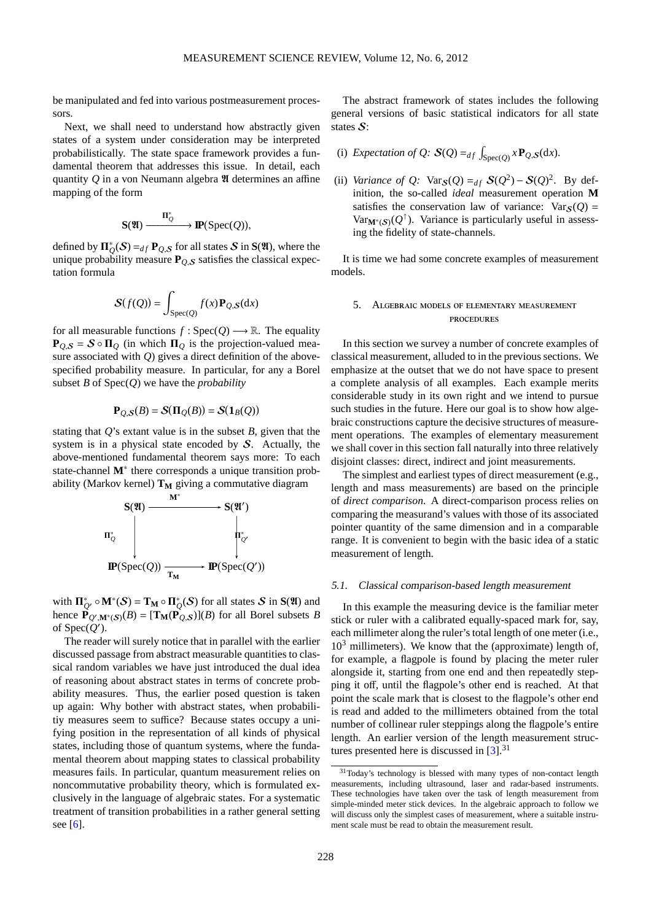be manipulated and fed into various postmeasurement processors.

Next, we shall need to understand how abstractly given states of a system under consideration may be interpreted probabilistically. The state space framework provides a fundamental theorem that addresses this issue. In detail, each quantity  $Q$  in a von Neumann algebra  $\mathfrak A$  determines an affine mapping of the form

$$
\mathbf{S}(\mathfrak{A}) \xrightarrow{\Pi_{\mathcal{Q}}^*} \mathbf{P}(\mathrm{Spec}(\mathcal{Q})),
$$

defined by  $\Pi_{Q}^*(\mathcal{S}) =_{df} \mathbf{P}_{Q,\mathcal{S}}$  for all states  $\mathcal{S}$  in  $\mathbf{S}(\mathfrak{A})$ , where the unique probability measure  $P_{\text{O},\mathcal{S}}$  satisfies the classical expectation formula

$$
\mathcal{S}(f(Q)) = \int_{\text{Spec}(Q)} f(x) \mathbf{P}_{Q,S}(\mathrm{d}x)
$$

for all measurable functions  $f : \text{Spec}(Q) \longrightarrow \mathbb{R}$ . The equality  $P_{O,S} = S \circ \Pi_{O}$  (in which  $\Pi_{O}$  is the projection-valued measure associated with *Q*) gives a direct definition of the abovespecified probability measure. In particular, for any a Borel subset *B* of Spec(*Q*) we have the *probability*

$$
\mathbf{P}_{Q,S}(B) = \mathcal{S}(\Pi_Q(B)) = \mathcal{S}(\mathbf{1}_B(Q))
$$

stating that *Q*'s extant value is in the subset *B*, given that the system is in a physical state encoded by  $S$ . Actually, the above-mentioned fundamental theorem says more: To each state-channel M<sup>∗</sup> there corresponds a unique transition probability (Markov kernel) **T<sup>M</sup>** giving a commutative diagram



with  $\Pi_{Q'}^* \circ M^*(S) = T_M \circ \Pi_Q^*(S)$  for all states S in S(\Qpta) and hence  $\tilde{\mathbf{P}}_{Q',\mathbf{M}^*(\mathcal{S})}(B) = [\mathbf{T}_\mathbf{M}(\tilde{\mathbf{P}_{Q,S}})](B)$  for all Borel subsets *B* of  $Spec(Q')$ .

The reader will surely notice that in parallel with the earlier discussed passage from abstract measurable quantities to classical random variables we have just introduced the dual idea of reasoning about abstract states in terms of concrete probability measures. Thus, the earlier posed question is taken up again: Why bother with abstract states, when probabilitiy measures seem to suffice? Because states occupy a unifying position in the representation of all kinds of physical states, including those of quantum systems, where the fundamental theorem about mapping states to classical probability measures fails. In particular, quantum measurement relies on noncommutative probability theory, which is formulated exclusively in the language of algebraic states. For a systematic treatment of transition probabilities in a rather general setting see  $[6]$ .

The abstract framework of states includes the following general versions of basic statistical indicators for all state states S:

- (i) *Expectation of Q:*  $S(Q) =_{df} \int_{\text{Spec}(Q)} x \mathbf{P}_{Q,S}(dx)$ .
- (ii) *Variance of Q:*  $Var_S(Q) =_{df} S(Q^2) S(Q)^2$ . By definition, the so-called *ideal* measurement operation **M** satisfies the conservation law of variance:  $Var_S(Q)$  = Var<sub>M<sup>\*</sup>(S)</sub>( $Q^{\dagger}$ ). Variance is particularly useful in assessing the fidelity of state-channels.

It is time we had some concrete examples of measurement models.

## 5. Algebraic models of elementary measurement procedures

In this section we survey a number of concrete examples of classical measurement, alluded to in the previous sections. We emphasize at the outset that we do not have space to present a complete analysis of all examples. Each example merits considerable study in its own right and we intend to pursue such studies in the future. Here our goal is to show how algebraic constructions capture the decisive structures of measurement operations. The examples of elementary measurement we shall cover in this section fall naturally into three relatively disjoint classes: direct, indirect and joint measurements.

The simplest and earliest types of direct measurement (e.g., length and mass measurements) are based on the principle of *direct comparison*. A direct-comparison process relies on comparing the measurand's values with those of its associated pointer quantity of the same dimension and in a comparable range. It is convenient to begin with the basic idea of a static measurement of length.

#### 5.1. Classical comparison-based length measurement

In this example the measuring device is the familiar meter stick or ruler with a calibrated equally-spaced mark for, say, each millimeter along the ruler's total length of one meter (i.e.,  $10<sup>3</sup>$  millimeters). We know that the (approximate) length of, for example, a flagpole is found by placing the meter ruler alongside it, starting from one end and then repeatedly stepping it off, until the flagpole's other end is reached. At that point the scale mark that is closest to the flagpole's other end is read and added to the millimeters obtained from the total number of collinear ruler steppings along the flagpole's entire length. An earlier version of the length measurement structures presented here is discussed in  $[3]$ .<sup>[31](#page-15-0)</sup>

<span id="page-15-0"></span> $31$ Today's technology is blessed with many types of non-contact length measurements, including ultrasound, laser and radar-based instruments. These technologies have taken over the task of length measurement from simple-minded meter stick devices. In the algebraic approach to follow we will discuss only the simplest cases of measurement, where a suitable instrument scale must be read to obtain the measurement result.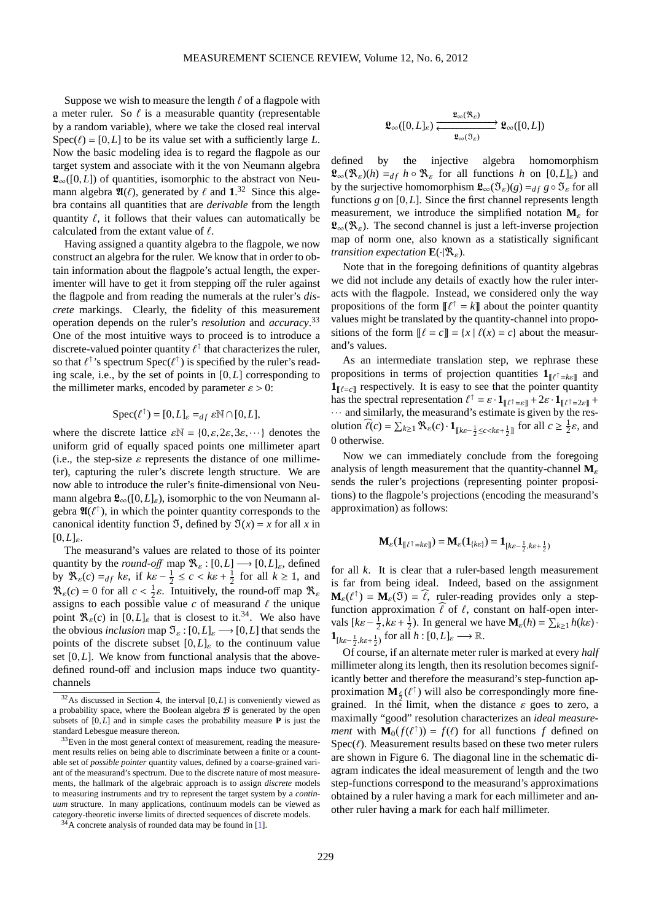Suppose we wish to measure the length  $\ell$  of a flagpole with a meter ruler. So  $\ell$  is a measurable quantity (representable by a random variable), where we take the closed real interval  $Spec(\ell) = [0, L]$  to be its value set with a sufficiently large L. Now the basic modeling idea is to regard the flagpole as our target system and associate with it the von Neumann algebra  $\mathbf{L}_{\infty}([0,L])$  of quantities, isomorphic to the abstract von Neumann algebra  $\mathfrak{A}(\ell)$ , generated by  $\ell$  and  $1.^{32}$  $1.^{32}$  $1.^{32}$  Since this algebra contains all quantities that are *derivable* from the length quantity  $\ell$ , it follows that their values can automatically be calculated from the extant value of  $\ell$ .

Having assigned a quantity algebra to the flagpole, we now construct an algebra for the ruler. We know that in order to obtain information about the flagpole's actual length, the experimenter will have to get it from stepping off the ruler against the flagpole and from reading the numerals at the ruler's *discrete* markings. Clearly, the fidelity of this measurement operation depends on the ruler's *resolution* and *accuracy*. [33](#page-16-1) One of the most intuitive ways to proceed is to introduce a discrete-valued pointer quantity  $\ell^{\dagger}$  that characterizes the ruler, so that  $\ell^{\uparrow}$ 's spectrum Spec( $\ell^{\uparrow}$ ) is specified by the ruler's reading scale, i.e., by the set of points in [0,*L*] corresponding to the millimeter marks, encoded by parameter  $\varepsilon > 0$ :

$$
\operatorname{Spec}(\ell^{\uparrow}) = [0, L]_{\varepsilon} =_{df} \varepsilon \mathbb{N} \cap [0, L],
$$

where the discrete lattice  $\varepsilon \mathbb{N} = \{0, \varepsilon, 2\varepsilon, 3\varepsilon, \dots\}$  denotes the uniform grid of equally spaced points one millimeter apart (i.e., the step-size  $\varepsilon$  represents the distance of one millimeter), capturing the ruler's discrete length structure. We are now able to introduce the ruler's finite-dimensional von Neumann algebra  $\mathfrak{L}_{\infty}([0,L]_{\varepsilon})$ , isomorphic to the von Neumann algebra  $\mathfrak{A}(\ell^{\uparrow})$ , in which the pointer quantity corresponds to the canonical identity function  $\mathfrak{I}$ , defined by  $\mathfrak{I}(x) = x$  for all *x* in  $[0,L]_{\varepsilon}.$ 

The measurand's values are related to those of its pointer quantity by the *round-off* map  $\mathcal{R}_{\varepsilon} : [0, L] \longrightarrow [0, L]_{\varepsilon}$ , defined by  $\Re_{\varepsilon}(c) =_{df} k\varepsilon$ , if  $k\varepsilon - \frac{1}{2} \le c < k\varepsilon + \frac{1}{2}$  for all  $k \ge 1$ , and  $\mathcal{R}_{\varepsilon}(c) = 0$  for all  $c < \frac{1}{2}\varepsilon$ . Intuitively, the round-off map  $\mathcal{R}_{\varepsilon}$ assigns to each possible value  $c$  of measurand  $\ell$  the unique point  $\mathcal{R}_{\varepsilon}(c)$  in  $[0, L]_{\varepsilon}$  that is closest to it.<sup>[34](#page-16-2)</sup>. We also have the obvious *inclusion* map  $\mathfrak{I}_{\varepsilon}$  :  $[0, L]_{\varepsilon} \longrightarrow [0, L]$  that sends the points of the discrete subset  $[0,L]_{\varepsilon}$  to the continuum value set [0,*L*]. We know from functional analysis that the abovedefined round-off and inclusion maps induce two quantitychannels

$$
\mathfrak{L}_{\infty}([0,L]_{\varepsilon})\xrightarrow{\mathfrak{L}_{\infty}(\mathfrak{R}_{\varepsilon})}\mathfrak{L}_{\infty}([0,L])
$$

defined by the injective algebra homomorphism  $\mathfrak{L}_{\infty}(\mathfrak{R}_{\varepsilon})(h) =_{df} h \circ \mathfrak{R}_{\varepsilon}$  for all functions *h* on  $[0, L]_{\varepsilon}$  and by the surjective homomorphism  $\mathfrak{L}_{\infty}(\mathfrak{I}_{\varepsilon})(g) =_{df} g \circ \mathfrak{I}_{\varepsilon}$  for all functions *g* on [0,*L*]. Since the first channel represents length measurement, we introduce the simplified notation  $M_{\varepsilon}$  for  $\mathfrak{L}_{\infty}(\mathfrak{R}_{\varepsilon})$ . The second channel is just a left-inverse projection map of norm one, also known as a statistically significant *transition expectation*  $\mathbf{E}(\cdot|\mathcal{R}_{\varepsilon})$ .

Note that in the foregoing definitions of quantity algebras we did not include any details of exactly how the ruler interacts with the flagpole. Instead, we considered only the way propositions of the form  $\llbracket \ell^{\uparrow} = k \rrbracket$  about the pointer quantity values might be translated by the quantity-channel into propositions of the form  $[\lbrack \lbrack \ell = c \rbrack] = \{x \mid \ell(x) = c\}$  about the measurand's values.

As an intermediate translation step, we rephrase these propositions in terms of projection quantities  $\mathbf{1}_{\llbracket \ell^{\uparrow} = k \varepsilon \rrbracket}$  and  $\mathbf{1}_{\llbracket \ell = c \rrbracket}$  respectively. It is easy to see that the pointer quantity has the spectral representation  $\ell^{\uparrow} = \varepsilon \cdot \mathbf{1}_{\llbracket \ell^{\uparrow} = \varepsilon \rrbracket} + 2\varepsilon \cdot \mathbf{1}_{\llbracket \ell^{\uparrow} = 2\varepsilon \rrbracket} +$  $\cdots$  and similarly, the measurand's estimate is given by the resolution  $\widehat{\ell}(c) = \sum_{k \geq 1} \mathfrak{R}_{\varepsilon}(c) \cdot \mathbf{1}_{\llbracket k\varepsilon - \frac{1}{2} \leq c < k\varepsilon + \frac{1}{2} \rrbracket}$  for all  $c \geq \frac{1}{2}\varepsilon$ , and 0 otherwise.

Now we can immediately conclude from the foregoing analysis of length measurement that the quantity-channel **M**<sup>ε</sup> sends the ruler's projections (representing pointer propositions) to the flagpole's projections (encoding the measurand's approximation) as follows:

$$
\mathbf{M}_{\varepsilon}(\mathbf{1}_{[\![\ell^{\uparrow} = k\varepsilon]\!]}) = \mathbf{M}_{\varepsilon}(\mathbf{1}_{\{k\varepsilon\}}) = \mathbf{1}_{[k\varepsilon - \frac{1}{2}, k\varepsilon + \frac{1}{2})}
$$

for all *k*. It is clear that a ruler-based length measurement is far from being ideal. Indeed, based on the assignment  $M_{\varepsilon}(\ell^{\uparrow}) = M_{\varepsilon}(\mathfrak{I}) = \hat{\ell}$ , ruler-reading provides only a stepfunction approximation  $\ell$  of  $\ell$ , constant on half-open intervals  $[k\varepsilon - \frac{1}{2}, k\varepsilon + \frac{1}{2})$ . In general we have  $\mathbf{M}_{\varepsilon}(h) = \sum_{k \ge 1} h(k\varepsilon) \cdot$  $\mathbf{1}_{[k\varepsilon-\frac{1}{2},k\varepsilon+\frac{1}{2})}$  for all  $h:[0,L]_{\varepsilon} \longrightarrow \mathbb{R}$ .

Of course, if an alternate meter ruler is marked at every *half* millimeter along its length, then its resolution becomes significantly better and therefore the measurand's step-function approximation  $\mathbf{M}_{\frac{\epsilon}{2}}(\ell^{\uparrow})$  will also be correspondingly more finegrained. In the limit, when the distance  $\varepsilon$  goes to zero, a maximally "good" resolution characterizes an *ideal measurement* with  $\mathbf{M}_0(f(\ell^{\uparrow})) = f(\ell)$  for all functions f defined on  $Spec(\ell)$ . Measurement results based on these two meter rulers are shown in Figure 6. The diagonal line in the schematic diagram indicates the ideal measurement of length and the two step-functions correspond to the measurand's approximations obtained by a ruler having a mark for each millimeter and another ruler having a mark for each half millimeter.

<span id="page-16-0"></span> $32$ As discussed in Section 4, the interval  $[0, L]$  is conveniently viewed as a probability space, where the Boolean algebra  $B$  is generated by the open subsets of [0,*L*] and in simple cases the probability measure **P** is just the standard Lebesgue measure thereon.

<span id="page-16-1"></span><sup>&</sup>lt;sup>33</sup>Even in the most general context of measurement, reading the measurement results relies on being able to discriminate between a finite or a countable set of *possible pointer* quantity values, defined by a coarse-grained variant of the measurand's spectrum. Due to the discrete nature of most measurements, the hallmark of the algebraic approach is to assign *discrete* models to measuring instruments and try to represent the target system by a *continuum* structure. In many applications, continuum models can be viewed as category-theoretic inverse limits of directed sequences of discrete models.

<span id="page-16-2"></span><sup>34</sup>A concrete analysis of rounded data may be found in [\[1\]](#page-20-10).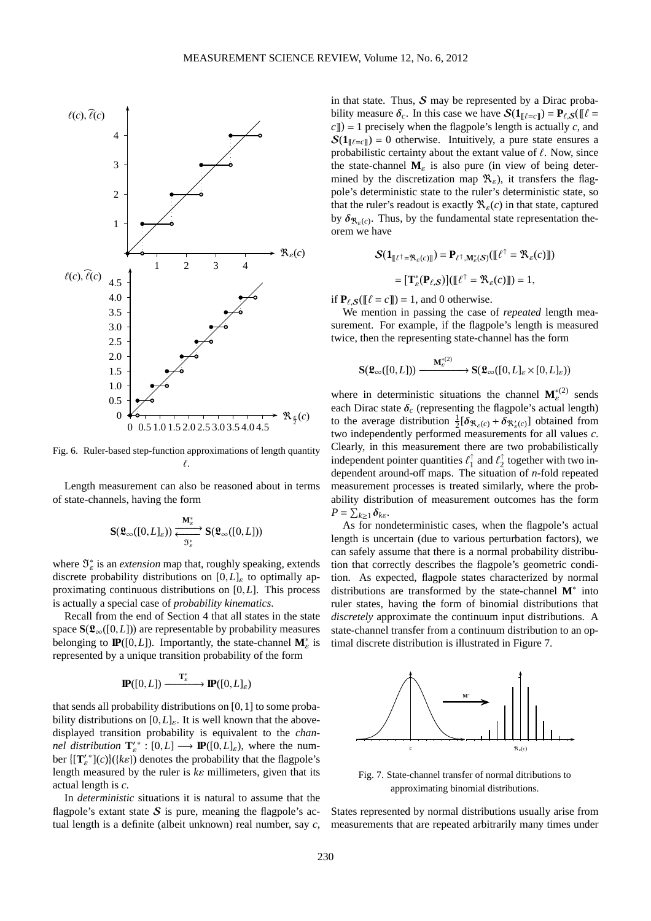

Fig. 6. Ruler-based step-function approximations of length quantity ℓ.

Length measurement can also be reasoned about in terms of state-channels, having the form

$$
\mathbf{S}(\mathfrak{L}_{\infty}([0,L]_{\varepsilon}))\xrightarrow[\frac{\mathbf{M}_{\varepsilon}^{*}}{\Im_{\varepsilon}^{*}}]{}\mathbf{S}(\mathfrak{L}_{\infty}([0,L]))
$$

where  $\mathfrak{I}_{\varepsilon}^*$  is an *extension* map that, roughly speaking, extends discrete probability distributions on [0,*L*]<sub>ε</sub> to optimally approximating continuous distributions on [0,*L*]. This process is actually a special case of *probability kinematics*.

Recall from the end of Section 4 that all states in the state space  $\mathbf{S}(\mathfrak{L}_{\infty}([0,L]))$  are representable by probability measures belonging to  $\mathbf{P}([0,L])$ . Importantly, the state-channel  $\mathbf{M}_{\varepsilon}^*$  is represented by a unique transition probability of the form

$$
\mathbf{I\!P}([0,L]) \xrightarrow{\mathbf{T}_{\varepsilon}^*} \mathbf{I\!P}([0,L]_{\varepsilon})
$$

that sends all probability distributions on [0,1] to some probability distributions on  $[0, L]_{\varepsilon}$ . It is well known that the abovedisplayed transition probability is equivalent to the *channel distribution*  $\mathbf{T}'_s$ <sup>\*</sup> : [0,*L*]  $\longrightarrow$  **IP**([0,*L*]<sub>*s*</sub>), where the number  $\{[\mathbf{T}_{\varepsilon}^*](c)\}(\{k\varepsilon\})$  denotes the probability that the flagpole's length measured by the ruler is *k*ε millimeters, given that its actual length is *c*.

In *deterministic* situations it is natural to assume that the flagpole's extant state  $S$  is pure, meaning the flagpole's actual length is a definite (albeit unknown) real number, say *c*, in that state. Thus,  $S$  may be represented by a Dirac probability measure  $\delta_c$ . In this case we have  $\mathcal{S}(\mathbf{1}_{\llbracket \ell = c \rrbracket}) = \mathbf{P}_{\ell,S}(\llbracket \ell = \ell \rrbracket)$  $c$ <sup> $\parallel$ </sup>) = 1 precisely when the flagpole's length is actually *c*, and  $S(1_{\mathbb{F}\{z\}}=0)$  otherwise. Intuitively, a pure state ensures a probabilistic certainty about the extant value of  $\ell$ . Now, since the state-channel  $M_{\varepsilon}$  is also pure (in view of being determined by the discretization map  $\mathfrak{R}_{\varepsilon}$ ), it transfers the flagpole's deterministic state to the ruler's deterministic state, so that the ruler's readout is exactly  $\mathcal{R}_{\varepsilon}(c)$  in that state, captured by  $\delta_{\mathfrak{R}_{\varepsilon}(c)}$ . Thus, by the fundamental state representation theorem we have

$$
\mathcal{S}(\mathbf{1}_{\llbracket \ell^{\uparrow} = \mathfrak{R}_{\varepsilon}(c)\rrbracket}) = \mathbf{P}_{\ell^{\uparrow}, \mathbf{M}_{\varepsilon}^{*}(\mathcal{S})}(\llbracket \ell^{\uparrow} = \mathfrak{R}_{\varepsilon}(c)\rrbracket)
$$

$$
= [\mathbf{T}_{\varepsilon}^{*}(\mathbf{P}_{\ell, \mathcal{S}})](\llbracket \ell^{\uparrow} = \mathfrak{R}_{\varepsilon}(c)\rrbracket) = 1,
$$

if  $P_{\ell,S}(\ell = c) = 1$ , and 0 otherwise.

We mention in passing the case of *repeated* length measurement. For example, if the flagpole's length is measured twice, then the representing state-channel has the form

$$
\mathbf{S}(\mathfrak{L}_{\infty}([0,L])) \xrightarrow{\mathbf{M}_{\varepsilon}^{*(2)}} \mathbf{S}(\mathfrak{L}_{\infty}([0,L]_{\varepsilon} \times [0,L]_{\varepsilon}))
$$

where in deterministic situations the channel  $M_{\varepsilon}^{*(2)}$  sends each Dirac state  $\delta_c$  (representing the flagpole's actual length) to the average distribution  $\frac{1}{2} [\delta_{\Re_{\varepsilon}(c)} + \delta_{\Re_{\varepsilon}'(c)}]$  obtained from two independently performed measurements for all values *c*. Clearly, in this measurement there are two probabilistically independent pointer quantities  $\ell_1^{\uparrow}$  and  $\ell_2^{\uparrow}$  together with two independent around-off maps. The situation of *n*-fold repeated measurement processes is treated similarly, where the probability distribution of measurement outcomes has the form  $P = ∑_{k≥1} δ_{kε}.$ 

As for nondeterministic cases, when the flagpole's actual length is uncertain (due to various perturbation factors), we can safely assume that there is a normal probability distribution that correctly describes the flagpole's geometric condition. As expected, flagpole states characterized by normal distributions are transformed by the state-channel **M**∗ into ruler states, having the form of binomial distributions that *discretely* approximate the continuum input distributions. A state-channel transfer from a continuum distribution to an optimal discrete distribution is illustrated in Figure 7.



Fig. 7. State-channel transfer of normal ditributions to approximating binomial distributions.

States represented by normal distributions usually arise from measurements that are repeated arbitrarily many times under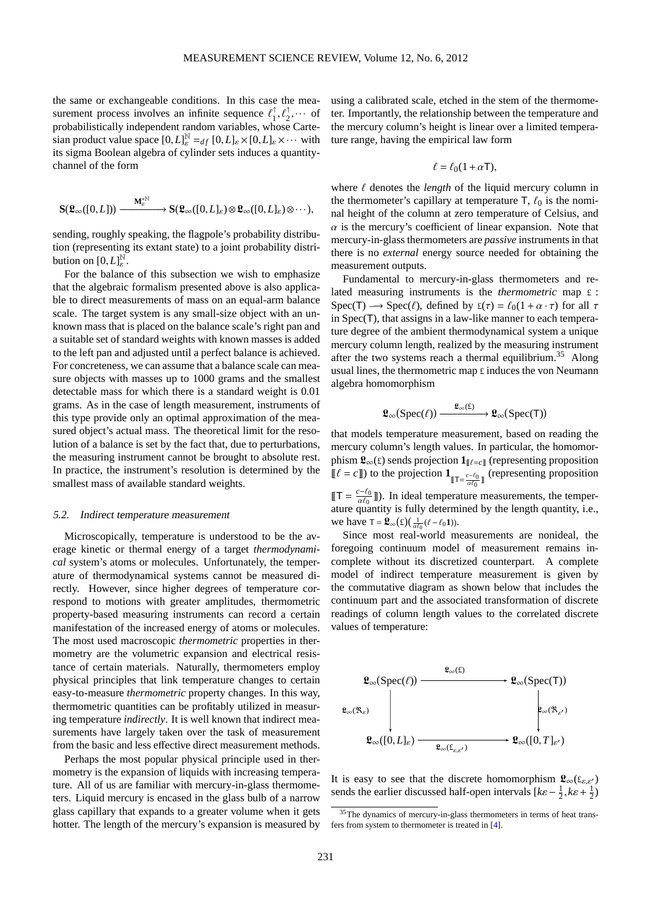the same or exchangeable conditions. In this case the measurement process involves an infinite sequence  $\ell_1^{\dagger}, \ell_2^{\dagger}, \cdots$  of probabilistically independent random variables, whose Cartesian product value space  $[0, L]_{\varepsilon}^{\mathbb{N}} =_{df} [0, L]_{\varepsilon} \times [0, L]_{\varepsilon} \times \cdots$  with its sigma Boolean algebra of cylinder sets induces a quantitychannel of the form

$$
\mathbf{S}(\mathfrak{L}_\infty([0,L]))\xrightarrow{\mathbf{M}_{\mathcal{E}}^{\mathrm{aff}}}\mathbf{S}(\mathfrak{L}_\infty([0,L]_{\mathcal{E}})\otimes\mathfrak{L}_\infty([0,L]_{\mathcal{E}})\otimes\cdots),
$$

sending, roughly speaking, the flagpole's probability distribution (representing its extant state) to a joint probability distribution on  $[0, L]_{\varepsilon}^{\mathbb{N}}$ .

For the balance of this subsection we wish to emphasize that the algebraic formalism presented above is also applicable to direct measurements of mass on an equal-arm balance scale. The target system is any small-size object with an unknown mass that is placed on the balance scale's right pan and a suitable set of standard weights with known masses is added to the left pan and adjusted until a perfect balance is achieved. For concreteness, we can assume that a balance scale can measure objects with masses up to 1000 grams and the smallest detectable mass for which there is a standard weight is 0.01 grams. As in the case of length measurement, instruments of this type provide only an optimal approximation of the measured object's actual mass. The theoretical limit for the resolution of a balance is set by the fact that, due to perturbations, the measuring instrument cannot be brought to absolute rest. In practice, the instrument's resolution is determined by the smallest mass of available standard weights.

#### 5.2. Indirect temperature measurement

Microscopically, temperature is understood to be the average kinetic or thermal energy of a target *thermodynamical* system's atoms or molecules. Unfortunately, the temperature of thermodynamical systems cannot be measured directly. However, since higher degrees of temperature correspond to motions with greater amplitudes, thermometric property-based measuring instruments can record a certain manifestation of the increased energy of atoms or molecules. The most used macroscopic *thermometric* properties in thermometry are the volumetric expansion and electrical resistance of certain materials. Naturally, thermometers employ physical principles that link temperature changes to certain easy-to-measure *thermometric* property changes. In this way, thermometric quantities can be profitably utilized in measuring temperature *indirectly*. It is well known that indirect measurements have largely taken over the task of measurement from the basic and less effective direct measurement methods.

Perhaps the most popular physical principle used in thermometry is the expansion of liquids with increasing temperature. All of us are familiar with mercury-in-glass thermometers. Liquid mercury is encased in the glass bulb of a narrow glass capillary that expands to a greater volume when it gets hotter. The length of the mercury's expansion is measured by

using a calibrated scale, etched in the stem of the thermometer. Importantly, the relationship between the temperature and the mercury column's height is linear over a limited temperature range, having the empirical law form

$$
\ell = \ell_0(1 + \alpha T),
$$

where  $\ell$  denotes the *length* of the liquid mercury column in the thermometer's capillary at temperature  $\mathsf{T}$ ,  $\ell_0$  is the nominal height of the column at zero temperature of Celsius, and  $\alpha$  is the mercury's coefficient of linear expansion. Note that mercury-in-glass thermometers are *passive* instruments in that there is no *external* energy source needed for obtaining the measurement outputs.

Fundamental to mercury-in-glass thermometers and related measuring instruments is the *thermometric* map £ : Spec(T)  $\rightarrow$  Spec( $\ell$ ), defined by  $\epsilon(\tau) = \ell_0(1 + \alpha \cdot \tau)$  for all  $\tau$ in Spec(T), that assigns in a law-like manner to each temperature degree of the ambient thermodynamical system a unique mercury column length, realized by the measuring instrument after the two systems reach a thermal equilibrium.<sup>[35](#page-18-0)</sup> Along usual lines, the thermometric map  $\epsilon$  induces the von Neumann algebra homomorphism

$$
\mathfrak{L}_\infty(\mathrm{Spec}(\ell))\xrightarrow{\ \ \mathfrak{L}_\infty(\mathrm{E})\ \ } \mathfrak{L}_\infty(\mathrm{Spec}(T))
$$

that models temperature measurement, based on reading the mercury column's length values. In particular, the homomorphism  $\mathbf{\Omega}_{\infty}(\epsilon)$  sends projection  $\mathbf{1}_{\llbracket \ell=c \rrbracket}$  (representing proposition ~ℓ = *c*) to the projection **1** ~T= *c*−ℓ0 αℓ0 (representing proposition  $\mathbb{T} = \frac{c - \ell_0}{\alpha \ell_0}$ ]). In ideal temperature measurements, the temperature quantity is fully determined by the length quantity, i.e., we have  $T = \mathbf{Q}_{\infty}(\mathbf{f}) \left( \frac{1}{\alpha \ell_0} (\ell - \ell_0 \mathbf{1}) \right).$ 

Since most real-world measurements are nonideal, the foregoing continuum model of measurement remains incomplete without its discretized counterpart. A complete model of indirect temperature measurement is given by the commutative diagram as shown below that includes the continuum part and the associated transformation of discrete readings of column length values to the correlated discrete values of temperature:



It is easy to see that the discrete homomorphism  $\mathfrak{L}_{\infty}(\mathfrak{t}_{\varepsilon,\varepsilon})$ sends the earlier discussed half-open intervals  $[k\varepsilon - \frac{1}{2}, k\varepsilon + \frac{1}{2})$ 

<span id="page-18-0"></span><sup>&</sup>lt;sup>35</sup>The dynamics of mercury-in-glass thermometers in terms of heat transfers from system to thermometer is treated in [\[4\]](#page-20-11).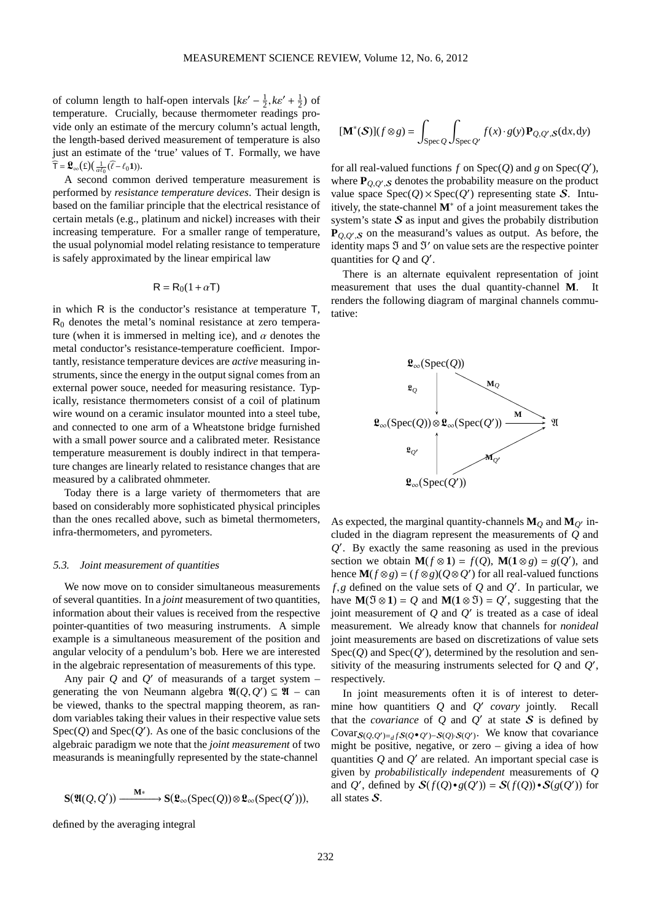of column length to half-open intervals  $[k\varepsilon' - \frac{1}{2}, k\varepsilon' + \frac{1}{2})$  of temperature. Crucially, because thermometer readings provide only an estimate of the mercury column's actual length, the length-based derived measurement of temperature is also just an estimate of the 'true' values of T. Formally, we have  $\widehat{\mathsf{T}} = \mathbf{\mathfrak{L}}_{\infty}(\boldsymbol{\mathfrak{L}}) \big( \frac{1}{\alpha \ell_0} (\widehat{\ell} - \ell_0 \mathbf{1}) \big).$ 

A second common derived temperature measurement is performed by *resistance temperature devices*. Their design is based on the familiar principle that the electrical resistance of certain metals (e.g., platinum and nickel) increases with their increasing temperature. For a smaller range of temperature, the usual polynomial model relating resistance to temperature is safely approximated by the linear empirical law

## $R = R_0(1 + \alpha T)$

in which R is the conductor's resistance at temperature T,  $R_0$  denotes the metal's nominal resistance at zero temperature (when it is immersed in melting ice), and  $\alpha$  denotes the metal conductor's resistance-temperature coefficient. Importantly, resistance temperature devices are *active* measuring instruments, since the energy in the output signal comes from an external power souce, needed for measuring resistance. Typically, resistance thermometers consist of a coil of platinum wire wound on a ceramic insulator mounted into a steel tube, and connected to one arm of a Wheatstone bridge furnished with a small power source and a calibrated meter. Resistance temperature measurement is doubly indirect in that temperature changes are linearly related to resistance changes that are measured by a calibrated ohmmeter.

Today there is a large variety of thermometers that are based on considerably more sophisticated physical principles than the ones recalled above, such as bimetal thermometers, infra-thermometers, and pyrometers.

## 5.3. Joint measurement of quantities

We now move on to consider simultaneous measurements of several quantities. In a *joint* measurement of two quantities, information about their values is received from the respective pointer-quantities of two measuring instruments. A simple example is a simultaneous measurement of the position and angular velocity of a pendulum's bob. Here we are interested in the algebraic representation of measurements of this type.

Any pair *Q* and *Q* ′ of measurands of a target system – generating the von Neumann algebra  $\mathfrak{A}(Q, Q') \subseteq \mathfrak{A}$  – can be viewed, thanks to the spectral mapping theorem, as random variables taking their values in their respective value sets  $Spec(Q)$  and  $Spec(Q')$ . As one of the basic conclusions of the algebraic paradigm we note that the *joint measurement* of two measurands is meaningfully represented by the state-channel

$$
\textup{\textbf{S}}(\mathfrak{A}(\mathcal{Q},\mathcal{Q}'))\xrightarrow{\quad \ \ \, \mathbf{M}^* \quad \ \ } \textup{\textbf{S}}(\mathfrak{L}_\infty(\textup{Spec}(\mathcal{Q}))\otimes \mathfrak{L}_\infty(\textup{Spec}(\mathcal{Q}'))),
$$

defined by the averaging integral

$$
[\mathbf{M}^*(\mathcal{S})](f \otimes g) = \int_{\text{Spec}\,Q} \int_{\text{Spec}\,Q'} f(x) \cdot g(y) \mathbf{P}_{Q,Q',\mathcal{S}}(\mathrm{d}x,\mathrm{d}y)
$$

for all real-valued functions  $f$  on  $Spec(Q)$  and  $g$  on  $Spec(Q')$ , where  $P_{Q,Q',S}$  denotes the probability measure on the product value space  $Spec(Q) \times Spec(Q')$  representing state S. Intuitively, the state-channel **M**∗ of a joint measurement takes the system's state  $S$  as input and gives the probabily distribution  ${\bf P}_{Q,Q',S}$  on the measurand's values as output. As before, the identity maps  $\mathfrak I$  and  $\mathfrak I'$  on value sets are the respective pointer quantities for *Q* and *Q* ′ .

There is an alternate equivalent representation of joint measurement that uses the dual quantity-channel **M**. It renders the following diagram of marginal channels commutative:



As expected, the marginal quantity-channels  $M_Q$  and  $M_{Q'}$  included in the diagram represent the measurements of *Q* and *Q* ′ . By exactly the same reasoning as used in the previous section we obtain  $M(f \otimes 1) = f(Q)$ ,  $M(1 \otimes g) = g(Q')$ , and hence  $\mathbf{M}(f \otimes g) = (f \otimes g)(Q \otimes Q')$  for all real-valued functions *f*,*g* defined on the value sets of *Q* and *Q* ′ . In particular, we have  $M(\mathfrak{I} \otimes 1) = Q$  and  $M(1 \otimes \mathfrak{I}) = Q'$ , suggesting that the joint measurement of *Q* and *Q* ′ is treated as a case of ideal measurement. We already know that channels for *nonideal* joint measurements are based on discretizations of value sets  $Spec(Q)$  and  $Spec(Q')$ , determined by the resolution and sensitivity of the measuring instruments selected for *Q* and *Q* ′ , respectively.

In joint measurements often it is of interest to determine how quantitiers *Q* and *Q* ′ *covary* jointly. Recall that the *covariance* of  $Q$  and  $Q'$  at state  $S$  is defined by Covar $s_{(Q,Q')=d} f s_{(Q \bullet Q')-} s_{(Q)} s_{(Q')}$ . We know that covariance might be positive, negative, or zero – giving a idea of how quantities *Q* and *Q* ′ are related. An important special case is given by *probabilistically independent* measurements of *Q* and Q', defined by  $S(f(Q) \cdot g(Q')) = S(f(Q)) \cdot S(g(Q'))$  for all states S.